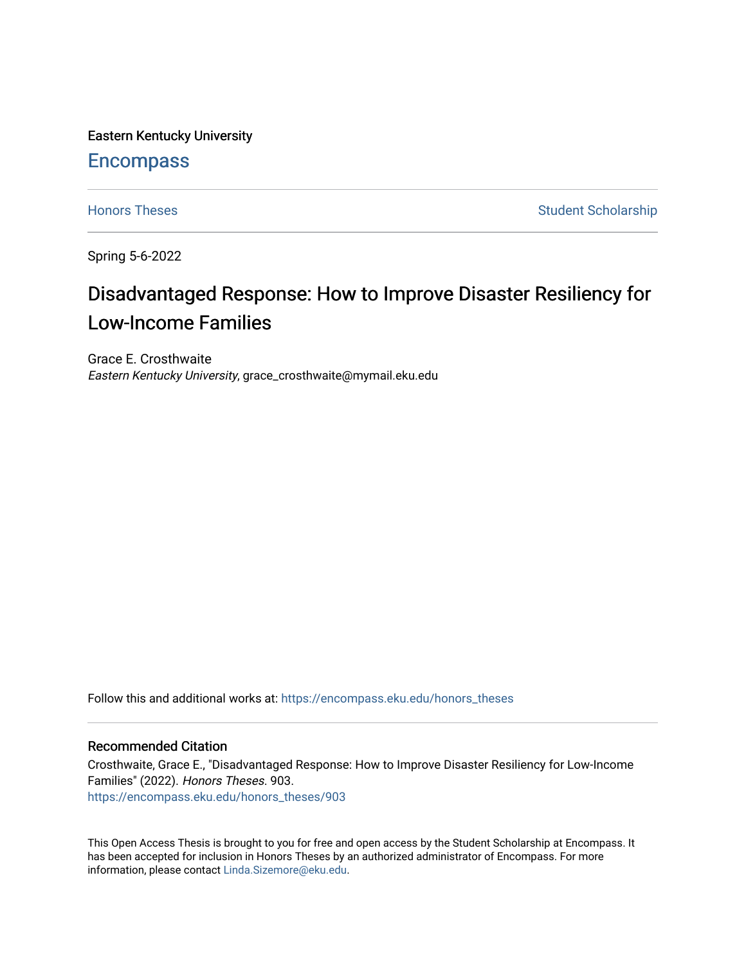Eastern Kentucky University

# **Encompass**

[Honors Theses](https://encompass.eku.edu/honors_theses) **Student Scholarship** Student Scholarship

Spring 5-6-2022

# Disadvantaged Response: How to Improve Disaster Resiliency for Low-Income Families

Grace E. Crosthwaite Eastern Kentucky University, grace\_crosthwaite@mymail.eku.edu

Follow this and additional works at: [https://encompass.eku.edu/honors\\_theses](https://encompass.eku.edu/honors_theses?utm_source=encompass.eku.edu%2Fhonors_theses%2F903&utm_medium=PDF&utm_campaign=PDFCoverPages) 

#### Recommended Citation

Crosthwaite, Grace E., "Disadvantaged Response: How to Improve Disaster Resiliency for Low-Income Families" (2022). Honors Theses. 903. [https://encompass.eku.edu/honors\\_theses/903](https://encompass.eku.edu/honors_theses/903?utm_source=encompass.eku.edu%2Fhonors_theses%2F903&utm_medium=PDF&utm_campaign=PDFCoverPages) 

This Open Access Thesis is brought to you for free and open access by the Student Scholarship at Encompass. It has been accepted for inclusion in Honors Theses by an authorized administrator of Encompass. For more information, please contact [Linda.Sizemore@eku.edu.](mailto:Linda.Sizemore@eku.edu)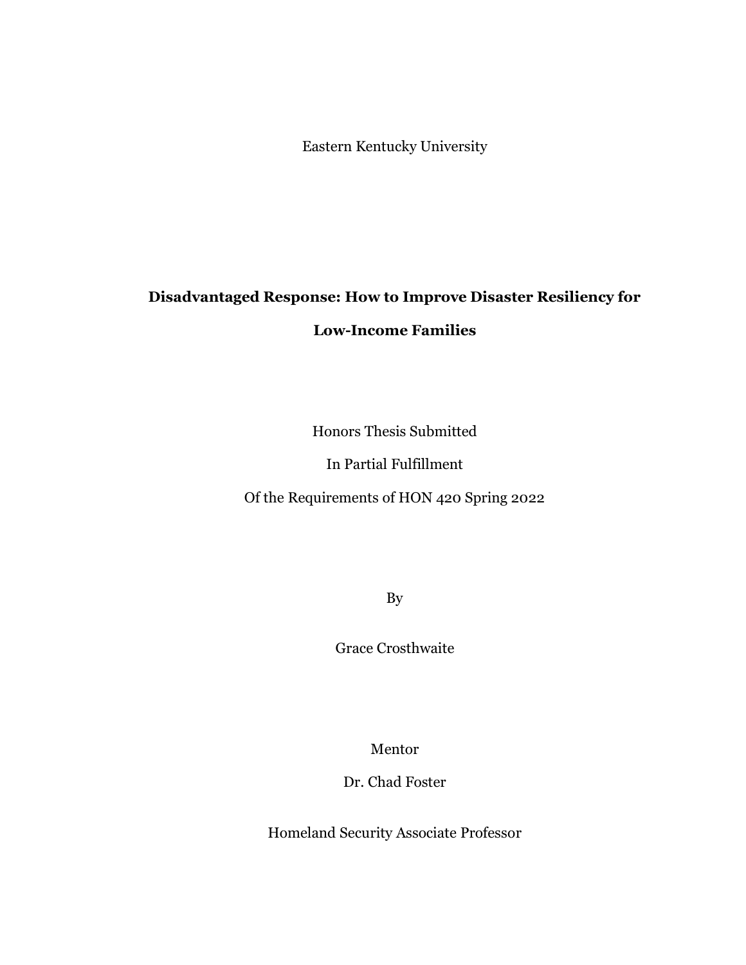Eastern Kentucky University

# **Disadvantaged Response: How to Improve Disaster Resiliency for**

# **Low-Income Families**

Honors Thesis Submitted

In Partial Fulfillment

Of the Requirements of HON 420 Spring 2022

By

Grace Crosthwaite

Mentor

Dr. Chad Foster

Homeland Security Associate Professor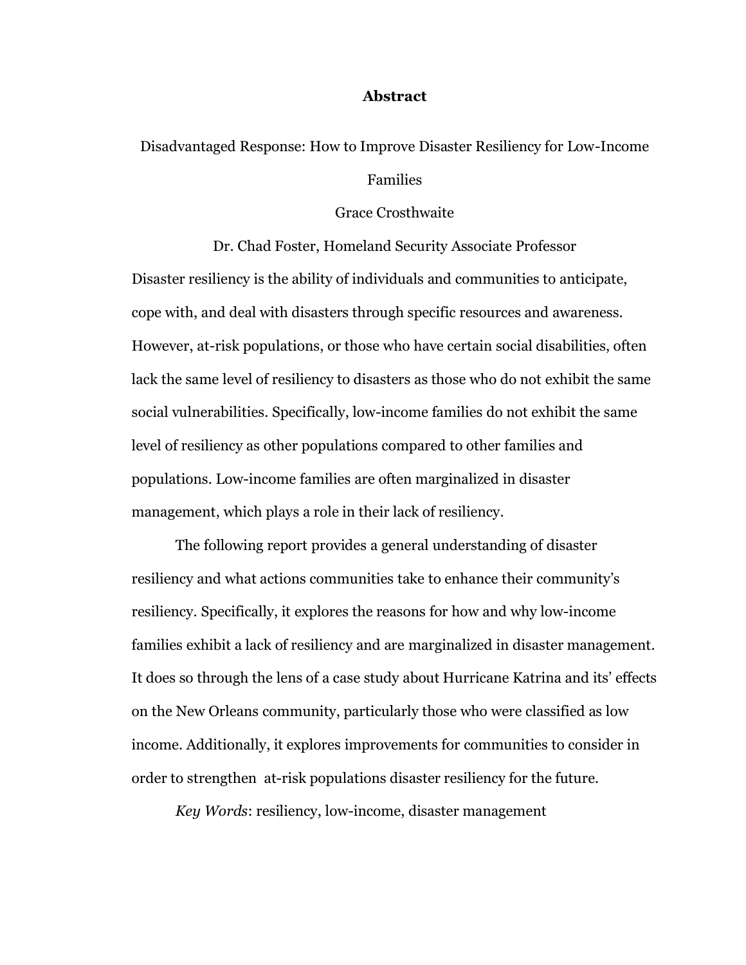#### **Abstract**

# Disadvantaged Response: How to Improve Disaster Resiliency for Low-Income Families

#### Grace Crosthwaite

Dr. Chad Foster, Homeland Security Associate Professor Disaster resiliency is the ability of individuals and communities to anticipate, cope with, and deal with disasters through specific resources and awareness. However, at-risk populations, or those who have certain social disabilities, often lack the same level of resiliency to disasters as those who do not exhibit the same social vulnerabilities. Specifically, low-income families do not exhibit the same level of resiliency as other populations compared to other families and populations. Low-income families are often marginalized in disaster management, which plays a role in their lack of resiliency.

The following report provides a general understanding of disaster resiliency and what actions communities take to enhance their community's resiliency. Specifically, it explores the reasons for how and why low-income families exhibit a lack of resiliency and are marginalized in disaster management. It does so through the lens of a case study about Hurricane Katrina and its' effects on the New Orleans community, particularly those who were classified as low income. Additionally, it explores improvements for communities to consider in order to strengthen at-risk populations disaster resiliency for the future.

*Key Words*: resiliency, low-income, disaster management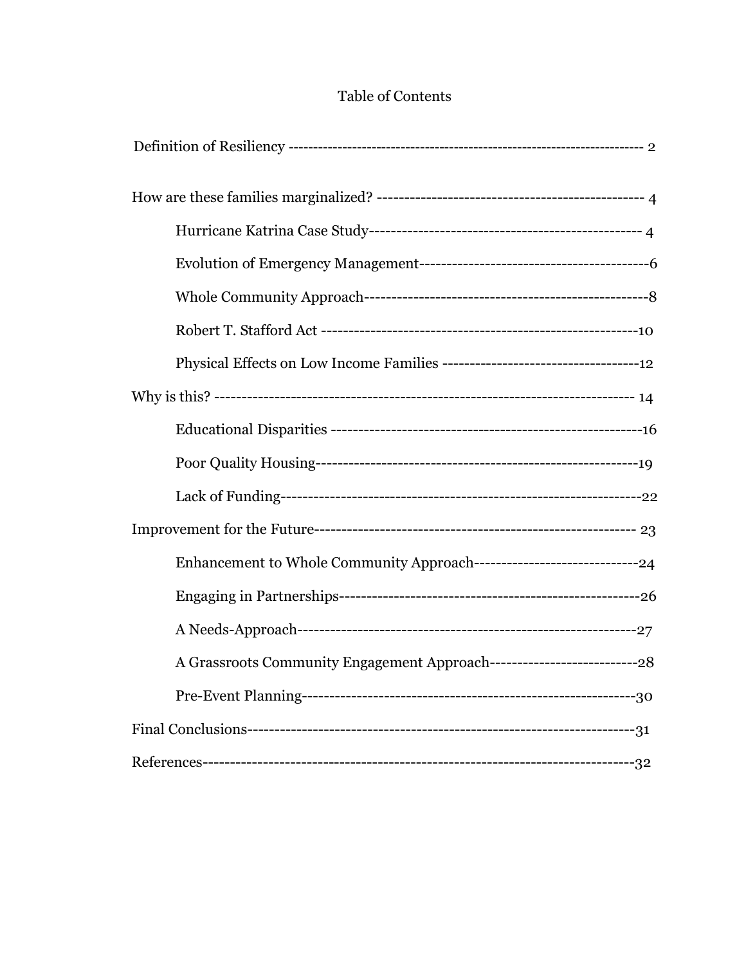# Table of Contents

| A Grassroots Community Engagement Approach--------------------------------28 |  |
|------------------------------------------------------------------------------|--|
|                                                                              |  |
|                                                                              |  |
|                                                                              |  |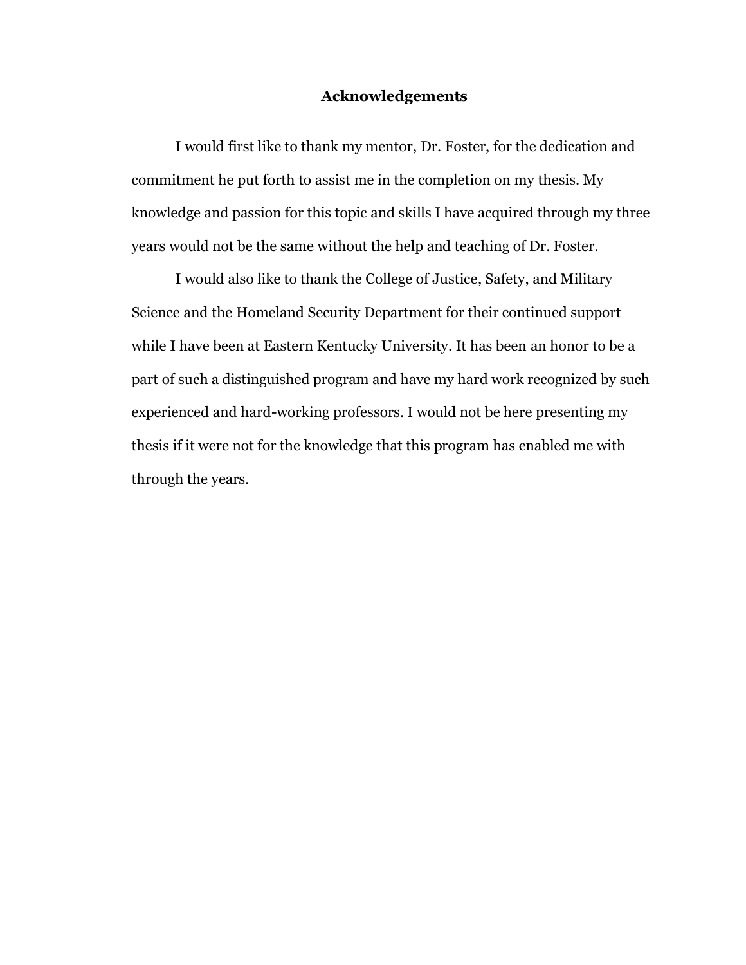# **Acknowledgements**

I would first like to thank my mentor, Dr. Foster, for the dedication and commitment he put forth to assist me in the completion on my thesis. My knowledge and passion for this topic and skills I have acquired through my three years would not be the same without the help and teaching of Dr. Foster.

I would also like to thank the College of Justice, Safety, and Military Science and the Homeland Security Department for their continued support while I have been at Eastern Kentucky University. It has been an honor to be a part of such a distinguished program and have my hard work recognized by such experienced and hard-working professors. I would not be here presenting my thesis if it were not for the knowledge that this program has enabled me with through the years.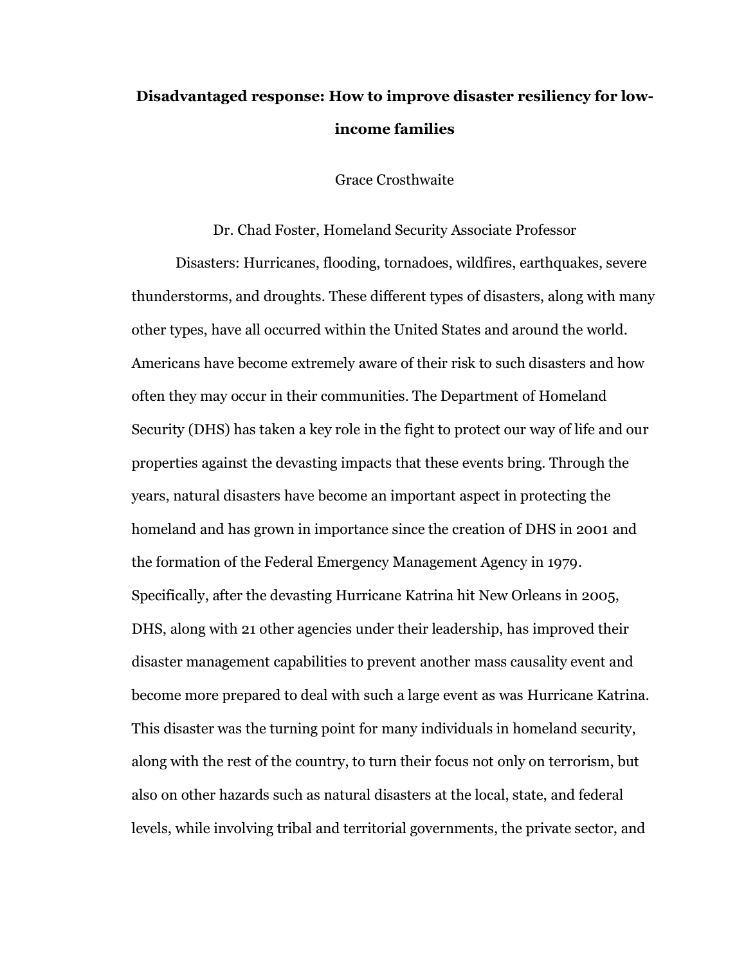# **Disadvantaged response: How to improve disaster resiliency for lowincome families**

Grace Crosthwaite

Dr. Chad Foster, Homeland Security Associate Professor

Disasters: Hurricanes, flooding, tornadoes, wildfires, earthquakes, severe thunderstorms, and droughts. These different types of disasters, along with many other types, have all occurred within the United States and around the world. Americans have become extremely aware of their risk to such disasters and how often they may occur in their communities. The Department of Homeland Security (DHS) has taken a key role in the fight to protect our way of life and our properties against the devasting impacts that these events bring. Through the years, natural disasters have become an important aspect in protecting the homeland and has grown in importance since the creation of DHS in 2001 and the formation of the Federal Emergency Management Agency in 1979. Specifically, after the devasting Hurricane Katrina hit New Orleans in 2005, DHS, along with 21 other agencies under their leadership, has improved their disaster management capabilities to prevent another mass causality event and become more prepared to deal with such a large event as was Hurricane Katrina. This disaster was the turning point for many individuals in homeland security, along with the rest of the country, to turn their focus not only on terrorism, but also on other hazards such as natural disasters at the local, state, and federal levels, while involving tribal and territorial governments, the private sector, and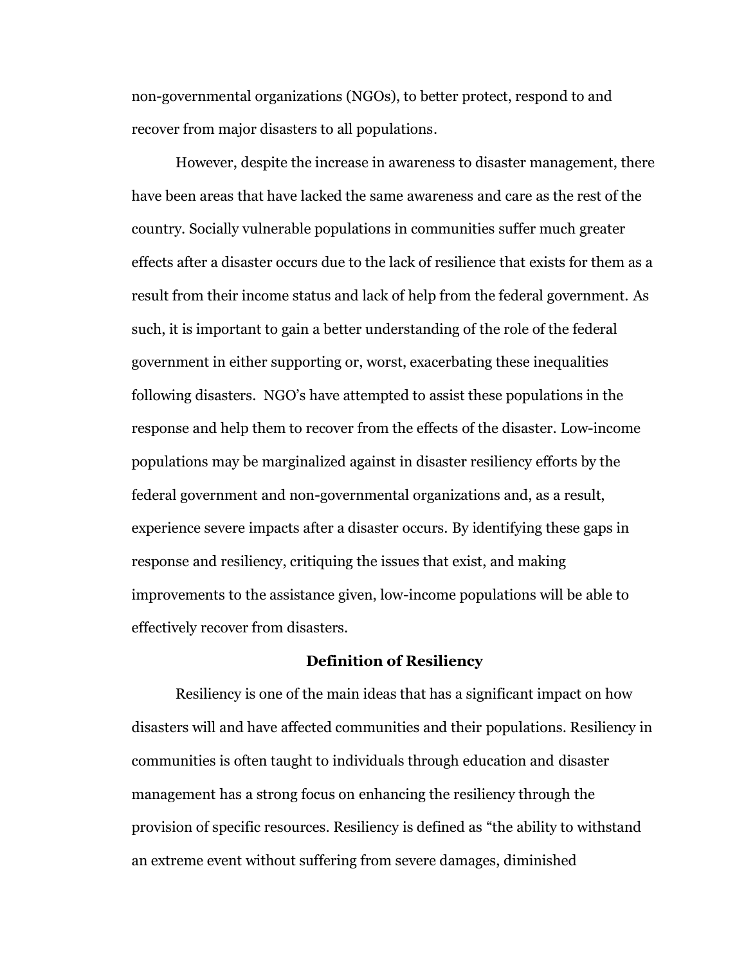non-governmental organizations (NGOs), to better protect, respond to and recover from major disasters to all populations.

However, despite the increase in awareness to disaster management, there have been areas that have lacked the same awareness and care as the rest of the country. Socially vulnerable populations in communities suffer much greater effects after a disaster occurs due to the lack of resilience that exists for them as a result from their income status and lack of help from the federal government. As such, it is important to gain a better understanding of the role of the federal government in either supporting or, worst, exacerbating these inequalities following disasters. NGO's have attempted to assist these populations in the response and help them to recover from the effects of the disaster. Low-income populations may be marginalized against in disaster resiliency efforts by the federal government and non-governmental organizations and, as a result, experience severe impacts after a disaster occurs. By identifying these gaps in response and resiliency, critiquing the issues that exist, and making improvements to the assistance given, low-income populations will be able to effectively recover from disasters.

#### **Definition of Resiliency**

Resiliency is one of the main ideas that has a significant impact on how disasters will and have affected communities and their populations. Resiliency in communities is often taught to individuals through education and disaster management has a strong focus on enhancing the resiliency through the provision of specific resources. Resiliency is defined as "the ability to withstand an extreme event without suffering from severe damages, diminished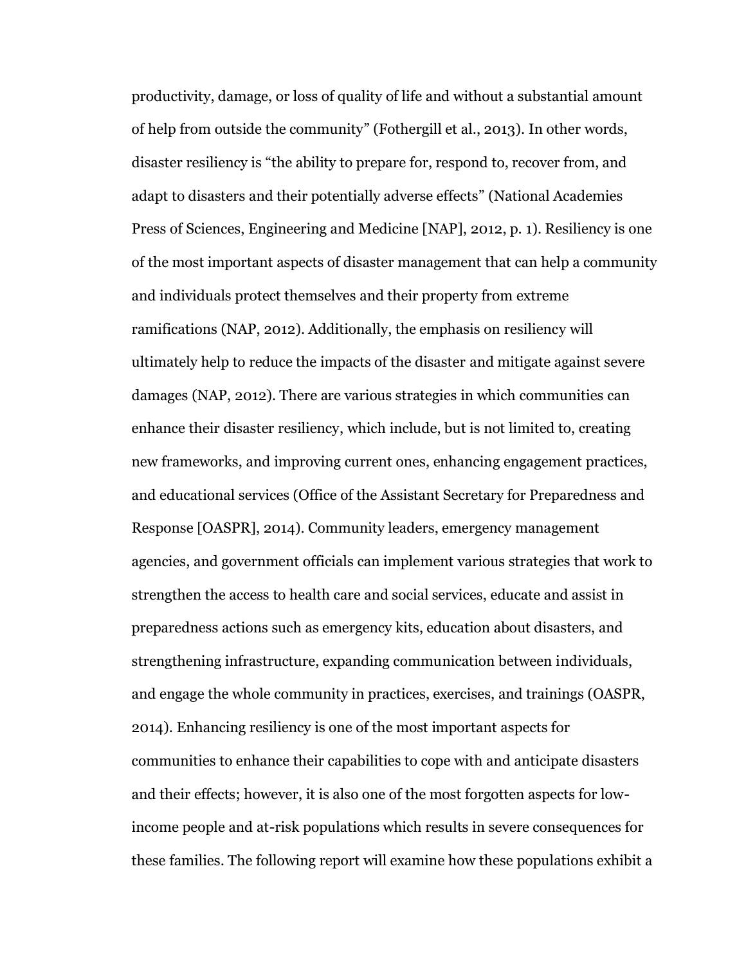productivity, damage, or loss of quality of life and without a substantial amount of help from outside the community" (Fothergill et al., 2013). In other words, disaster resiliency is "the ability to prepare for, respond to, recover from, and adapt to disasters and their potentially adverse effects" (National Academies Press of Sciences, Engineering and Medicine [NAP], 2012, p. 1). Resiliency is one of the most important aspects of disaster management that can help a community and individuals protect themselves and their property from extreme ramifications (NAP, 2012). Additionally, the emphasis on resiliency will ultimately help to reduce the impacts of the disaster and mitigate against severe damages (NAP, 2012). There are various strategies in which communities can enhance their disaster resiliency, which include, but is not limited to, creating new frameworks, and improving current ones, enhancing engagement practices, and educational services (Office of the Assistant Secretary for Preparedness and Response [OASPR], 2014). Community leaders, emergency management agencies, and government officials can implement various strategies that work to strengthen the access to health care and social services, educate and assist in preparedness actions such as emergency kits, education about disasters, and strengthening infrastructure, expanding communication between individuals, and engage the whole community in practices, exercises, and trainings (OASPR, 2014). Enhancing resiliency is one of the most important aspects for communities to enhance their capabilities to cope with and anticipate disasters and their effects; however, it is also one of the most forgotten aspects for lowincome people and at-risk populations which results in severe consequences for these families. The following report will examine how these populations exhibit a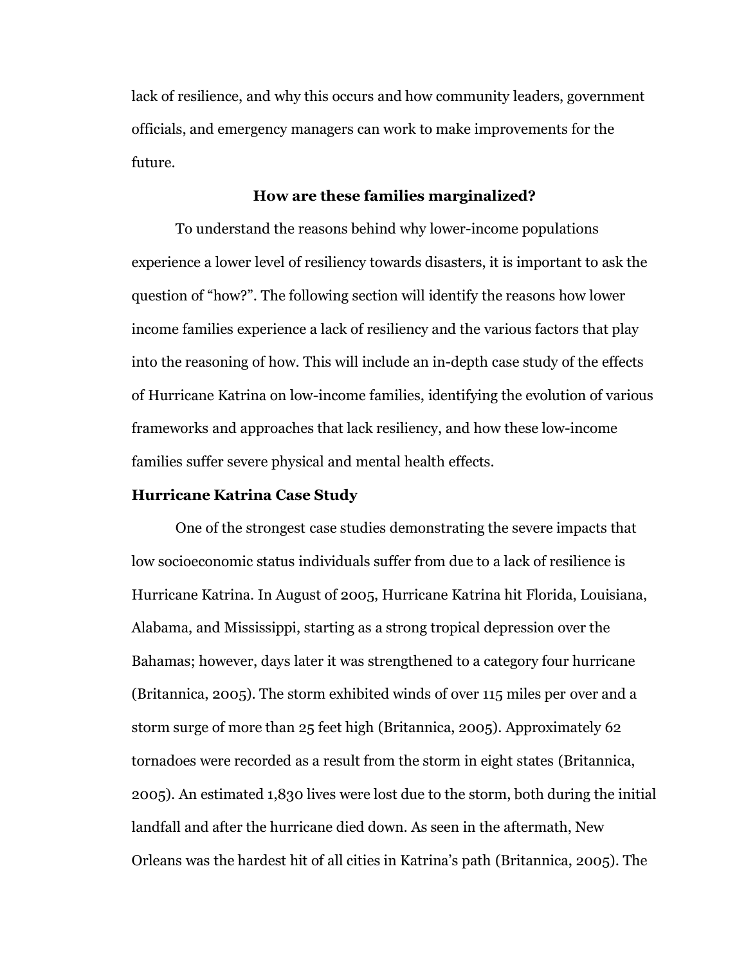lack of resilience, and why this occurs and how community leaders, government officials, and emergency managers can work to make improvements for the future.

# **How are these families marginalized?**

To understand the reasons behind why lower-income populations experience a lower level of resiliency towards disasters, it is important to ask the question of "how?". The following section will identify the reasons how lower income families experience a lack of resiliency and the various factors that play into the reasoning of how. This will include an in-depth case study of the effects of Hurricane Katrina on low-income families, identifying the evolution of various frameworks and approaches that lack resiliency, and how these low-income families suffer severe physical and mental health effects.

### **Hurricane Katrina Case Study**

One of the strongest case studies demonstrating the severe impacts that low socioeconomic status individuals suffer from due to a lack of resilience is Hurricane Katrina. In August of 2005, Hurricane Katrina hit Florida, Louisiana, Alabama, and Mississippi, starting as a strong tropical depression over the Bahamas; however, days later it was strengthened to a category four hurricane (Britannica, 2005). The storm exhibited winds of over 115 miles per over and a storm surge of more than 25 feet high (Britannica, 2005). Approximately 62 tornadoes were recorded as a result from the storm in eight states (Britannica, 2005). An estimated 1,830 lives were lost due to the storm, both during the initial landfall and after the hurricane died down. As seen in the aftermath, New Orleans was the hardest hit of all cities in Katrina's path (Britannica, 2005). The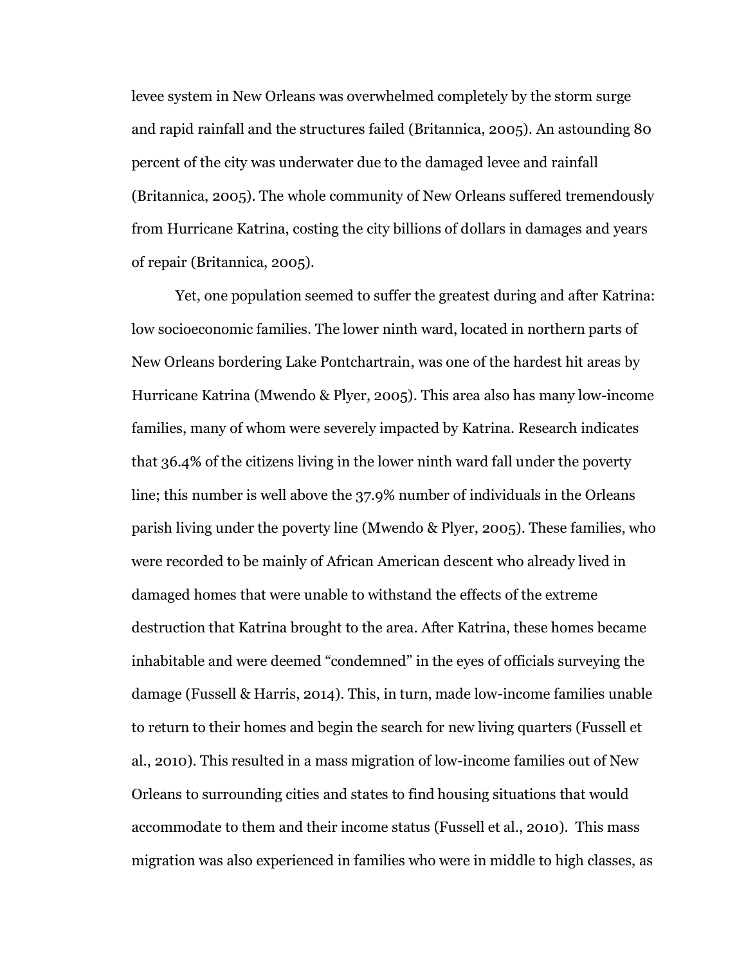levee system in New Orleans was overwhelmed completely by the storm surge and rapid rainfall and the structures failed (Britannica, 2005). An astounding 80 percent of the city was underwater due to the damaged levee and rainfall (Britannica, 2005). The whole community of New Orleans suffered tremendously from Hurricane Katrina, costing the city billions of dollars in damages and years of repair (Britannica, 2005).

Yet, one population seemed to suffer the greatest during and after Katrina: low socioeconomic families. The lower ninth ward, located in northern parts of New Orleans bordering Lake Pontchartrain, was one of the hardest hit areas by Hurricane Katrina (Mwendo & Plyer, 2005). This area also has many low-income families, many of whom were severely impacted by Katrina. Research indicates that 36.4% of the citizens living in the lower ninth ward fall under the poverty line; this number is well above the 37.9% number of individuals in the Orleans parish living under the poverty line (Mwendo & Plyer, 2005). These families, who were recorded to be mainly of African American descent who already lived in damaged homes that were unable to withstand the effects of the extreme destruction that Katrina brought to the area. After Katrina, these homes became inhabitable and were deemed "condemned" in the eyes of officials surveying the damage (Fussell & Harris, 2014). This, in turn, made low-income families unable to return to their homes and begin the search for new living quarters (Fussell et al., 2010). This resulted in a mass migration of low-income families out of New Orleans to surrounding cities and states to find housing situations that would accommodate to them and their income status (Fussell et al., 2010). This mass migration was also experienced in families who were in middle to high classes, as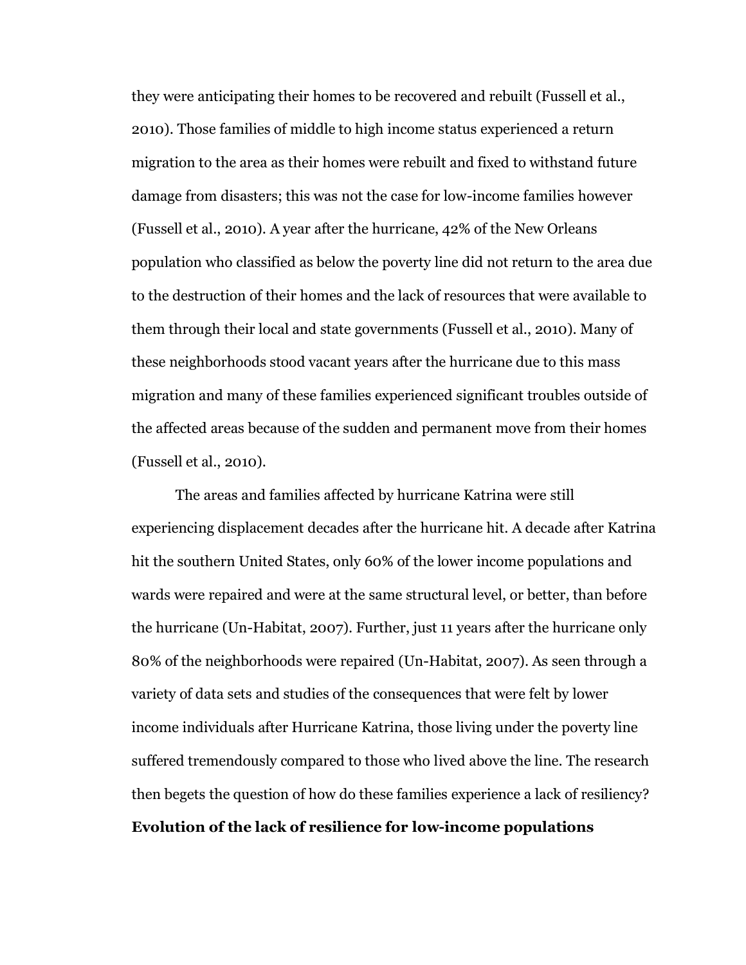they were anticipating their homes to be recovered and rebuilt (Fussell et al., 2010). Those families of middle to high income status experienced a return migration to the area as their homes were rebuilt and fixed to withstand future damage from disasters; this was not the case for low-income families however (Fussell et al., 2010). A year after the hurricane, 42% of the New Orleans population who classified as below the poverty line did not return to the area due to the destruction of their homes and the lack of resources that were available to them through their local and state governments (Fussell et al., 2010). Many of these neighborhoods stood vacant years after the hurricane due to this mass migration and many of these families experienced significant troubles outside of the affected areas because of the sudden and permanent move from their homes (Fussell et al., 2010).

The areas and families affected by hurricane Katrina were still experiencing displacement decades after the hurricane hit. A decade after Katrina hit the southern United States, only 60% of the lower income populations and wards were repaired and were at the same structural level, or better, than before the hurricane (Un-Habitat, 2007). Further, just 11 years after the hurricane only 80% of the neighborhoods were repaired (Un-Habitat, 2007). As seen through a variety of data sets and studies of the consequences that were felt by lower income individuals after Hurricane Katrina, those living under the poverty line suffered tremendously compared to those who lived above the line. The research then begets the question of how do these families experience a lack of resiliency? **Evolution of the lack of resilience for low-income populations**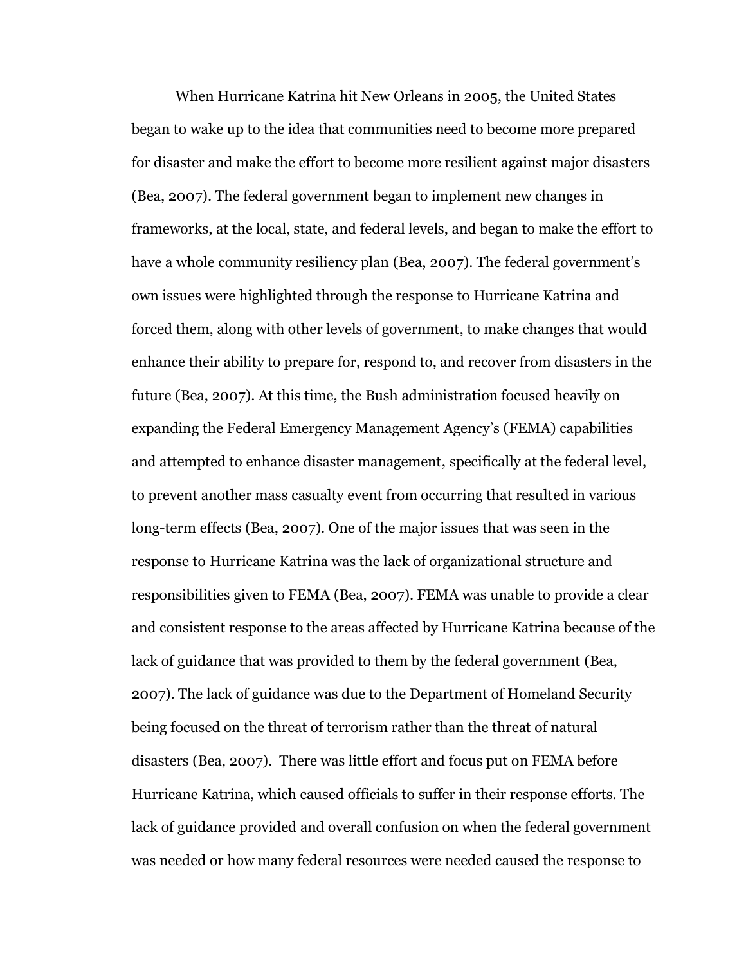When Hurricane Katrina hit New Orleans in 2005, the United States began to wake up to the idea that communities need to become more prepared for disaster and make the effort to become more resilient against major disasters (Bea, 2007). The federal government began to implement new changes in frameworks, at the local, state, and federal levels, and began to make the effort to have a whole community resiliency plan (Bea, 2007). The federal government's own issues were highlighted through the response to Hurricane Katrina and forced them, along with other levels of government, to make changes that would enhance their ability to prepare for, respond to, and recover from disasters in the future (Bea, 2007). At this time, the Bush administration focused heavily on expanding the Federal Emergency Management Agency's (FEMA) capabilities and attempted to enhance disaster management, specifically at the federal level, to prevent another mass casualty event from occurring that resulted in various long-term effects (Bea, 2007). One of the major issues that was seen in the response to Hurricane Katrina was the lack of organizational structure and responsibilities given to FEMA (Bea, 2007). FEMA was unable to provide a clear and consistent response to the areas affected by Hurricane Katrina because of the lack of guidance that was provided to them by the federal government (Bea, 2007). The lack of guidance was due to the Department of Homeland Security being focused on the threat of terrorism rather than the threat of natural disasters (Bea, 2007). There was little effort and focus put on FEMA before Hurricane Katrina, which caused officials to suffer in their response efforts. The lack of guidance provided and overall confusion on when the federal government was needed or how many federal resources were needed caused the response to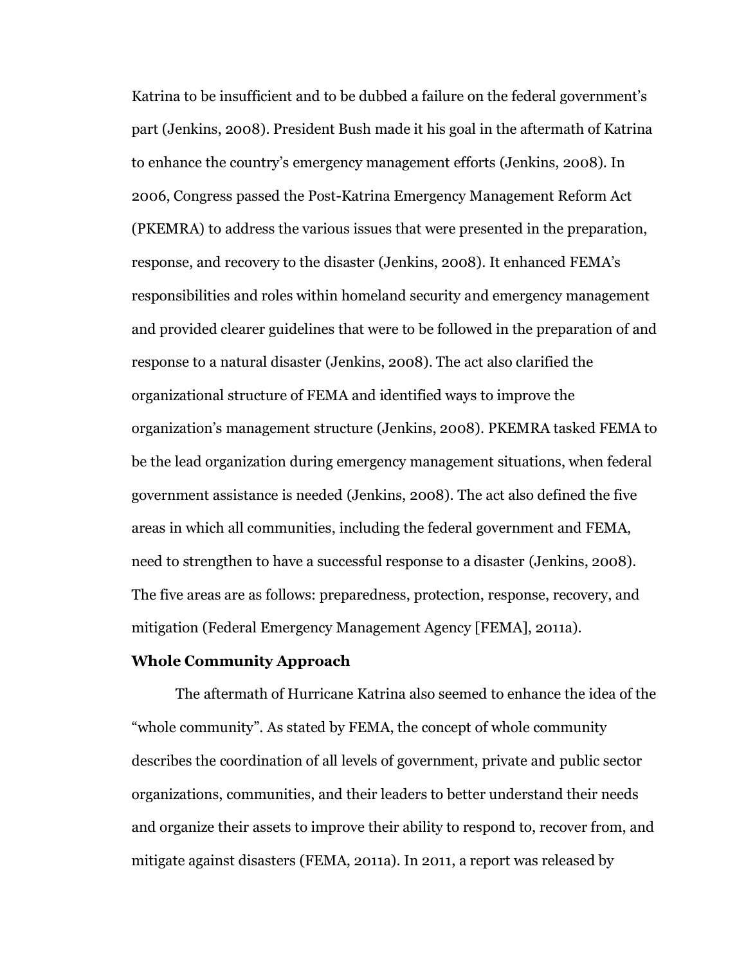Katrina to be insufficient and to be dubbed a failure on the federal government's part (Jenkins, 2008). President Bush made it his goal in the aftermath of Katrina to enhance the country's emergency management efforts (Jenkins, 2008). In 2006, Congress passed the Post-Katrina Emergency Management Reform Act (PKEMRA) to address the various issues that were presented in the preparation, response, and recovery to the disaster (Jenkins, 2008). It enhanced FEMA's responsibilities and roles within homeland security and emergency management and provided clearer guidelines that were to be followed in the preparation of and response to a natural disaster (Jenkins, 2008). The act also clarified the organizational structure of FEMA and identified ways to improve the organization's management structure (Jenkins, 2008). PKEMRA tasked FEMA to be the lead organization during emergency management situations, when federal government assistance is needed (Jenkins, 2008). The act also defined the five areas in which all communities, including the federal government and FEMA, need to strengthen to have a successful response to a disaster (Jenkins, 2008). The five areas are as follows: preparedness, protection, response, recovery, and mitigation (Federal Emergency Management Agency [FEMA], 2011a).

#### **Whole Community Approach**

The aftermath of Hurricane Katrina also seemed to enhance the idea of the "whole community". As stated by FEMA, the concept of whole community describes the coordination of all levels of government, private and public sector organizations, communities, and their leaders to better understand their needs and organize their assets to improve their ability to respond to, recover from, and mitigate against disasters (FEMA, 2011a). In 2011, a report was released by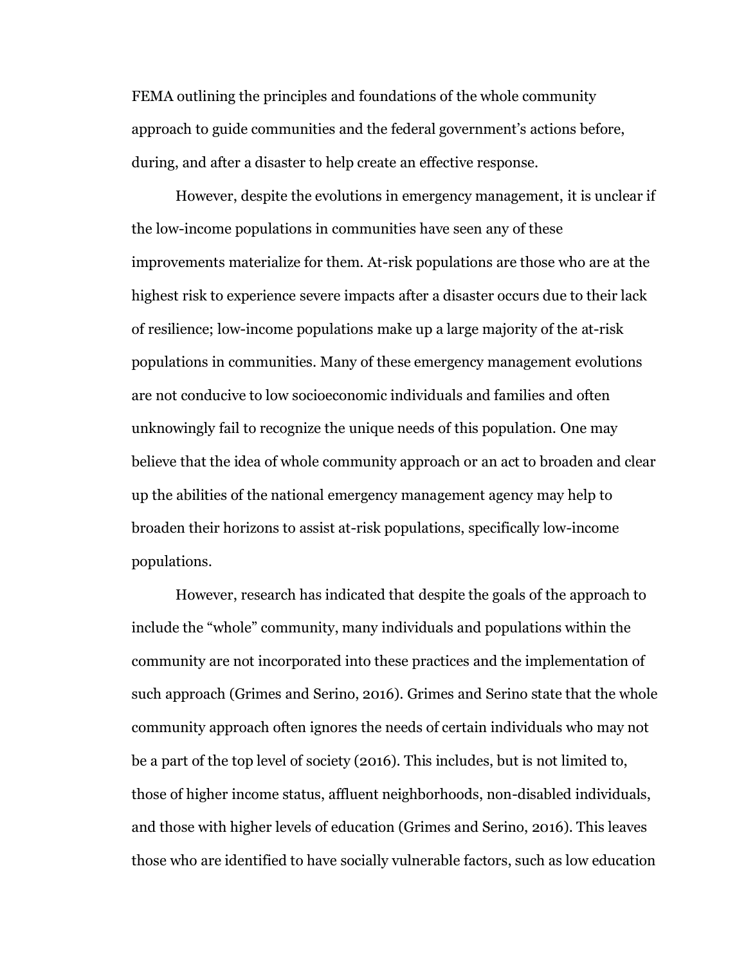FEMA outlining the principles and foundations of the whole community approach to guide communities and the federal government's actions before, during, and after a disaster to help create an effective response.

However, despite the evolutions in emergency management, it is unclear if the low-income populations in communities have seen any of these improvements materialize for them. At-risk populations are those who are at the highest risk to experience severe impacts after a disaster occurs due to their lack of resilience; low-income populations make up a large majority of the at-risk populations in communities. Many of these emergency management evolutions are not conducive to low socioeconomic individuals and families and often unknowingly fail to recognize the unique needs of this population. One may believe that the idea of whole community approach or an act to broaden and clear up the abilities of the national emergency management agency may help to broaden their horizons to assist at-risk populations, specifically low-income populations.

However, research has indicated that despite the goals of the approach to include the "whole" community, many individuals and populations within the community are not incorporated into these practices and the implementation of such approach (Grimes and Serino, 2016). Grimes and Serino state that the whole community approach often ignores the needs of certain individuals who may not be a part of the top level of society (2016). This includes, but is not limited to, those of higher income status, affluent neighborhoods, non-disabled individuals, and those with higher levels of education (Grimes and Serino, 2016). This leaves those who are identified to have socially vulnerable factors, such as low education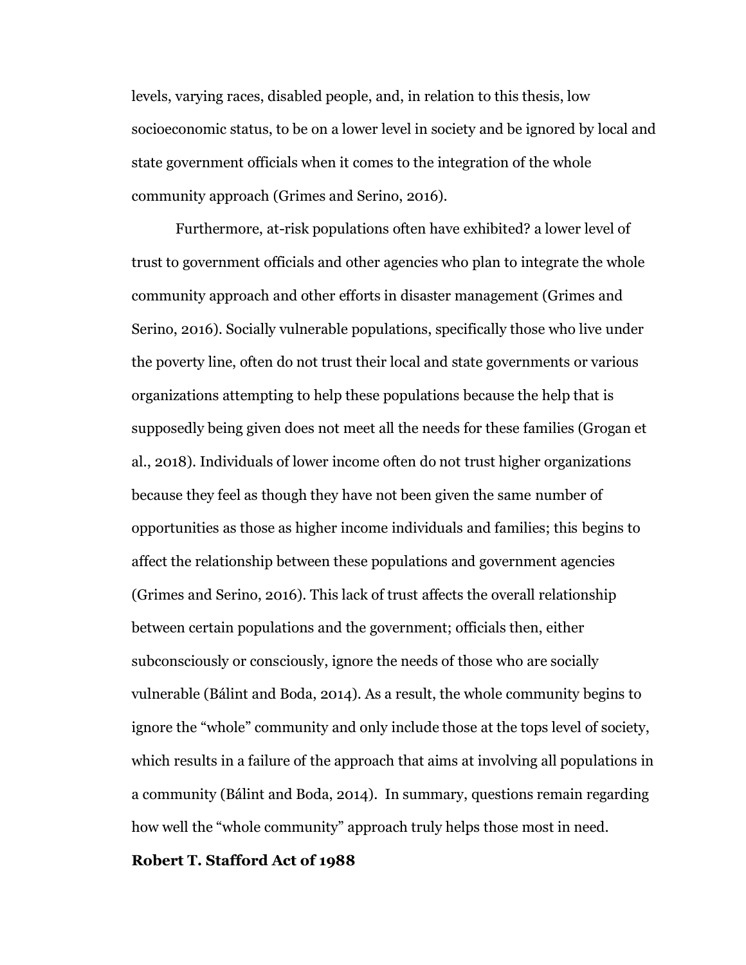levels, varying races, disabled people, and, in relation to this thesis, low socioeconomic status, to be on a lower level in society and be ignored by local and state government officials when it comes to the integration of the whole community approach (Grimes and Serino, 2016).

Furthermore, at-risk populations often have exhibited? a lower level of trust to government officials and other agencies who plan to integrate the whole community approach and other efforts in disaster management (Grimes and Serino, 2016). Socially vulnerable populations, specifically those who live under the poverty line, often do not trust their local and state governments or various organizations attempting to help these populations because the help that is supposedly being given does not meet all the needs for these families (Grogan et al., 2018). Individuals of lower income often do not trust higher organizations because they feel as though they have not been given the same number of opportunities as those as higher income individuals and families; this begins to affect the relationship between these populations and government agencies (Grimes and Serino, 2016). This lack of trust affects the overall relationship between certain populations and the government; officials then, either subconsciously or consciously, ignore the needs of those who are socially vulnerable (Bálint and Boda, 2014). As a result, the whole community begins to ignore the "whole" community and only include those at the tops level of society, which results in a failure of the approach that aims at involving all populations in a community (Bálint and Boda, 2014). In summary, questions remain regarding how well the "whole community" approach truly helps those most in need.

#### **Robert T. Stafford Act of 1988**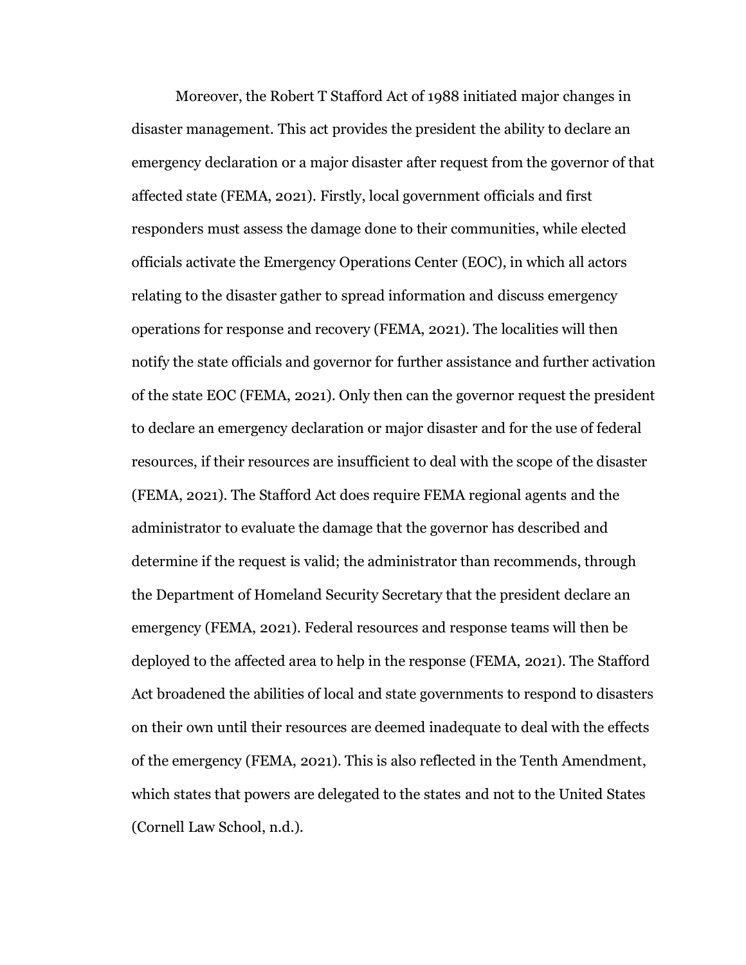Moreover, the Robert T Stafford Act of 1988 initiated major changes in disaster management. This act provides the president the ability to declare an emergency declaration or a major disaster after request from the governor of that affected state (FEMA, 2021). Firstly, local government officials and first responders must assess the damage done to their communities, while elected officials activate the Emergency Operations Center (EOC), in which all actors relating to the disaster gather to spread information and discuss emergency operations for response and recovery (FEMA, 2021). The localities will then notify the state officials and governor for further assistance and further activation of the state EOC (FEMA, 2021). Only then can the governor request the president to declare an emergency declaration or major disaster and for the use of federal resources, if their resources are insufficient to deal with the scope of the disaster (FEMA, 2021). The Stafford Act does require FEMA regional agents and the administrator to evaluate the damage that the governor has described and determine if the request is valid; the administrator than recommends, through the Department of Homeland Security Secretary that the president declare an emergency (FEMA, 2021). Federal resources and response teams will then be deployed to the affected area to help in the response (FEMA, 2021). The Stafford Act broadened the abilities of local and state governments to respond to disasters on their own until their resources are deemed inadequate to deal with the effects of the emergency (FEMA, 2021). This is also reflected in the Tenth Amendment, which states that powers are delegated to the states and not to the United States (Cornell Law School, n.d.).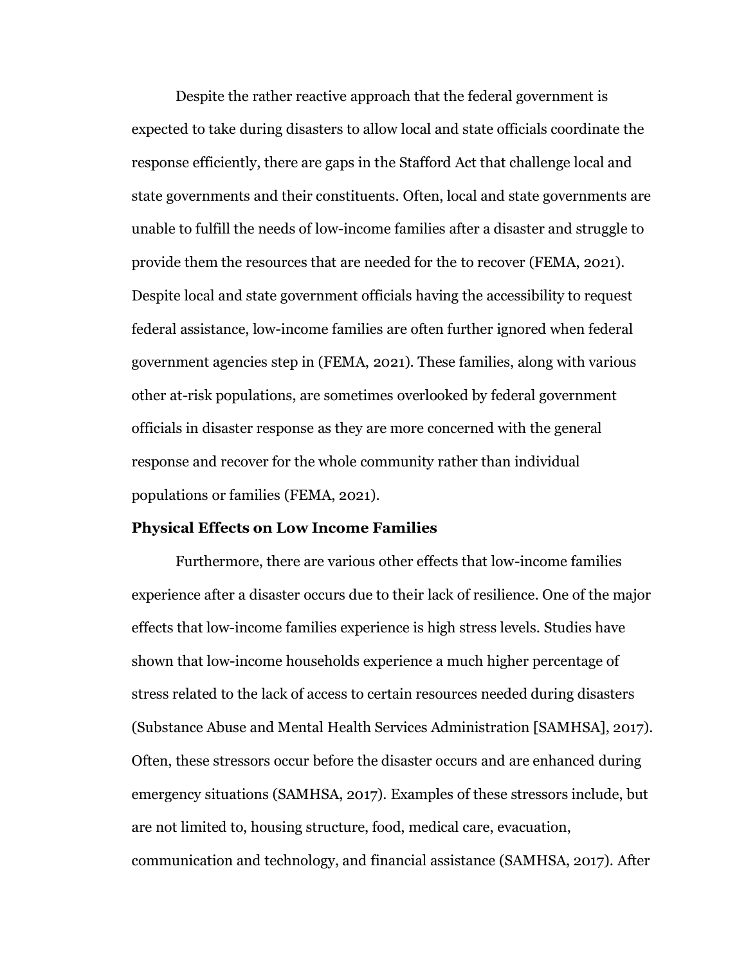Despite the rather reactive approach that the federal government is expected to take during disasters to allow local and state officials coordinate the response efficiently, there are gaps in the Stafford Act that challenge local and state governments and their constituents. Often, local and state governments are unable to fulfill the needs of low-income families after a disaster and struggle to provide them the resources that are needed for the to recover (FEMA, 2021). Despite local and state government officials having the accessibility to request federal assistance, low-income families are often further ignored when federal government agencies step in (FEMA, 2021). These families, along with various other at-risk populations, are sometimes overlooked by federal government officials in disaster response as they are more concerned with the general response and recover for the whole community rather than individual populations or families (FEMA, 2021).

#### **Physical Effects on Low Income Families**

Furthermore, there are various other effects that low-income families experience after a disaster occurs due to their lack of resilience. One of the major effects that low-income families experience is high stress levels. Studies have shown that low-income households experience a much higher percentage of stress related to the lack of access to certain resources needed during disasters (Substance Abuse and Mental Health Services Administration [SAMHSA], 2017). Often, these stressors occur before the disaster occurs and are enhanced during emergency situations (SAMHSA, 2017). Examples of these stressors include, but are not limited to, housing structure, food, medical care, evacuation, communication and technology, and financial assistance (SAMHSA, 2017). After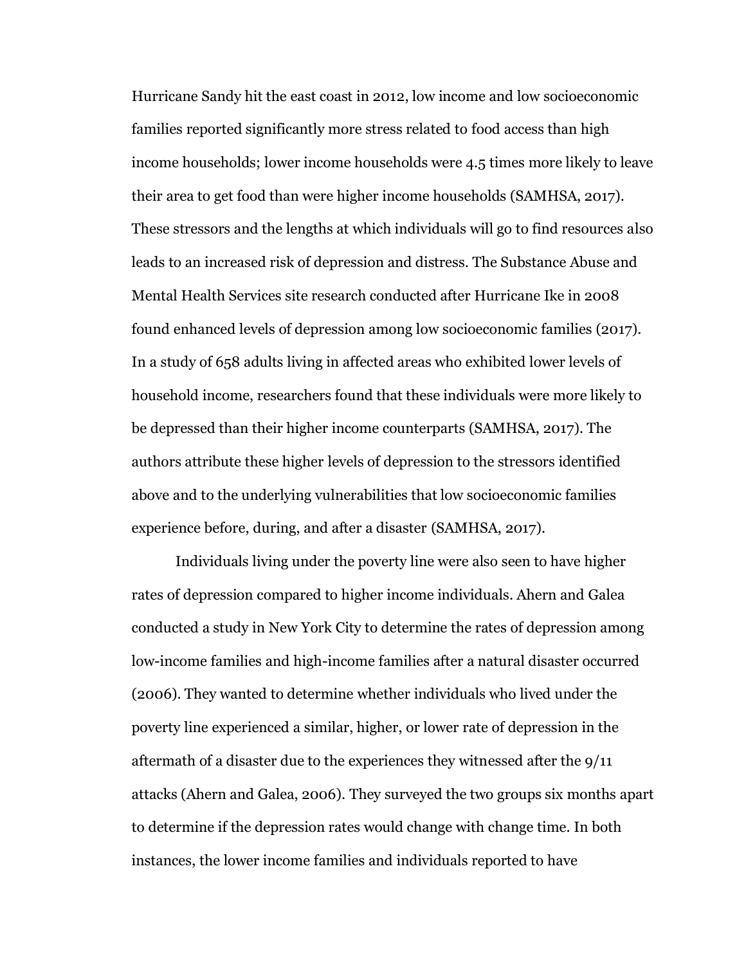Hurricane Sandy hit the east coast in 2012, low income and low socioeconomic families reported significantly more stress related to food access than high income households; lower income households were 4.5 times more likely to leave their area to get food than were higher income households (SAMHSA, 2017). These stressors and the lengths at which individuals will go to find resources also leads to an increased risk of depression and distress. The Substance Abuse and Mental Health Services site research conducted after Hurricane Ike in 2008 found enhanced levels of depression among low socioeconomic families (2017). In a study of 658 adults living in affected areas who exhibited lower levels of household income, researchers found that these individuals were more likely to be depressed than their higher income counterparts (SAMHSA, 2017). The authors attribute these higher levels of depression to the stressors identified above and to the underlying vulnerabilities that low socioeconomic families experience before, during, and after a disaster (SAMHSA, 2017).

Individuals living under the poverty line were also seen to have higher rates of depression compared to higher income individuals. Ahern and Galea conducted a study in New York City to determine the rates of depression among low-income families and high-income families after a natural disaster occurred (2006). They wanted to determine whether individuals who lived under the poverty line experienced a similar, higher, or lower rate of depression in the aftermath of a disaster due to the experiences they witnessed after the 9/11 attacks (Ahern and Galea, 2006). They surveyed the two groups six months apart to determine if the depression rates would change with change time. In both instances, the lower income families and individuals reported to have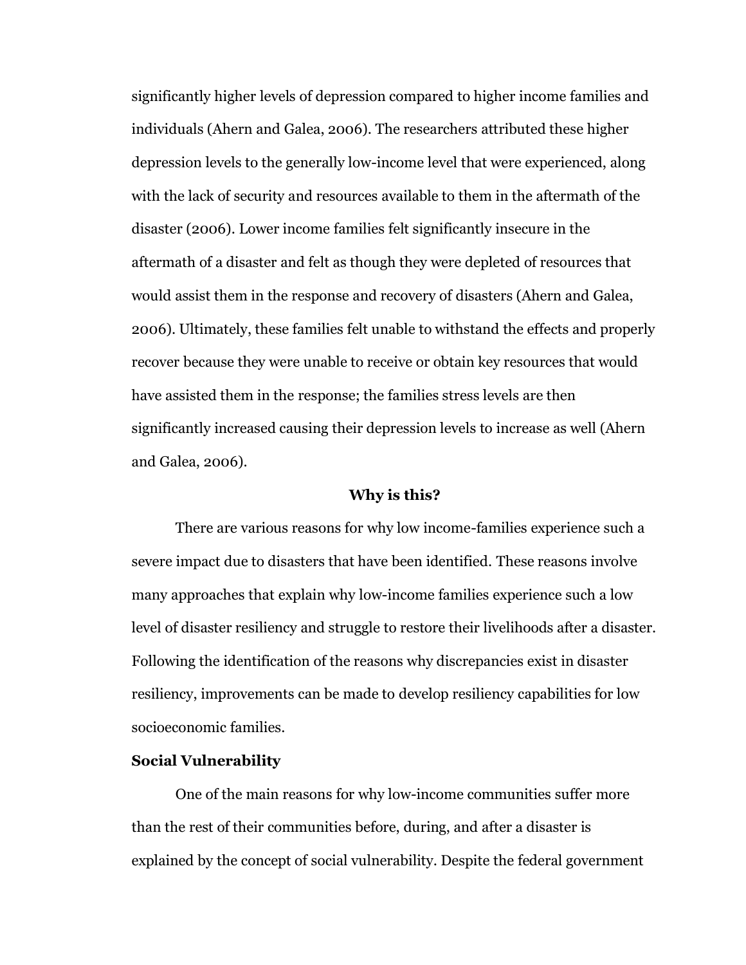significantly higher levels of depression compared to higher income families and individuals (Ahern and Galea, 2006). The researchers attributed these higher depression levels to the generally low-income level that were experienced, along with the lack of security and resources available to them in the aftermath of the disaster (2006). Lower income families felt significantly insecure in the aftermath of a disaster and felt as though they were depleted of resources that would assist them in the response and recovery of disasters (Ahern and Galea, 2006). Ultimately, these families felt unable to withstand the effects and properly recover because they were unable to receive or obtain key resources that would have assisted them in the response; the families stress levels are then significantly increased causing their depression levels to increase as well (Ahern and Galea, 2006).

# **Why is this?**

There are various reasons for why low income-families experience such a severe impact due to disasters that have been identified. These reasons involve many approaches that explain why low-income families experience such a low level of disaster resiliency and struggle to restore their livelihoods after a disaster. Following the identification of the reasons why discrepancies exist in disaster resiliency, improvements can be made to develop resiliency capabilities for low socioeconomic families.

# **Social Vulnerability**

One of the main reasons for why low-income communities suffer more than the rest of their communities before, during, and after a disaster is explained by the concept of social vulnerability. Despite the federal government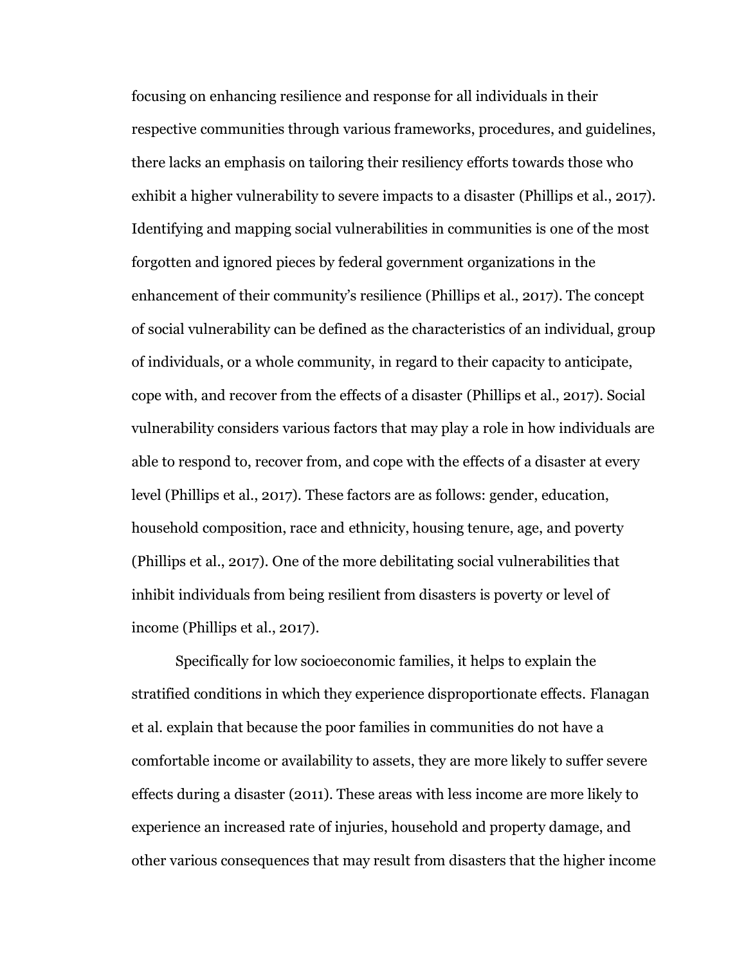focusing on enhancing resilience and response for all individuals in their respective communities through various frameworks, procedures, and guidelines, there lacks an emphasis on tailoring their resiliency efforts towards those who exhibit a higher vulnerability to severe impacts to a disaster (Phillips et al., 2017). Identifying and mapping social vulnerabilities in communities is one of the most forgotten and ignored pieces by federal government organizations in the enhancement of their community's resilience (Phillips et al., 2017). The concept of social vulnerability can be defined as the characteristics of an individual, group of individuals, or a whole community, in regard to their capacity to anticipate, cope with, and recover from the effects of a disaster (Phillips et al., 2017). Social vulnerability considers various factors that may play a role in how individuals are able to respond to, recover from, and cope with the effects of a disaster at every level (Phillips et al., 2017). These factors are as follows: gender, education, household composition, race and ethnicity, housing tenure, age, and poverty (Phillips et al., 2017). One of the more debilitating social vulnerabilities that inhibit individuals from being resilient from disasters is poverty or level of income (Phillips et al., 2017).

Specifically for low socioeconomic families, it helps to explain the stratified conditions in which they experience disproportionate effects. Flanagan et al. explain that because the poor families in communities do not have a comfortable income or availability to assets, they are more likely to suffer severe effects during a disaster (2011). These areas with less income are more likely to experience an increased rate of injuries, household and property damage, and other various consequences that may result from disasters that the higher income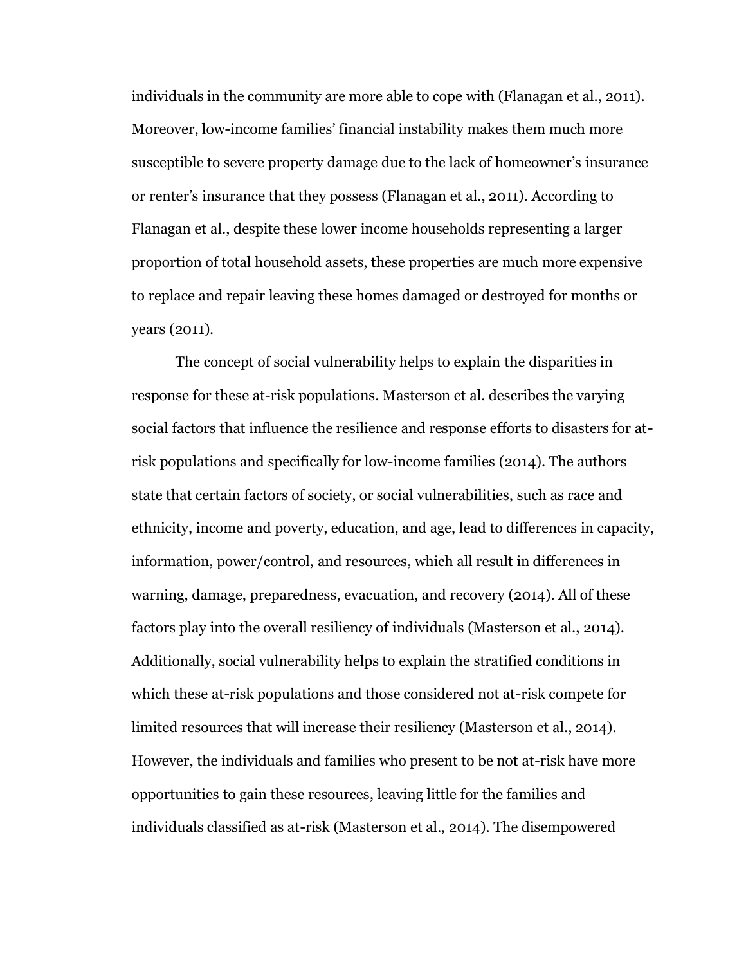individuals in the community are more able to cope with (Flanagan et al., 2011). Moreover, low-income families' financial instability makes them much more susceptible to severe property damage due to the lack of homeowner's insurance or renter's insurance that they possess (Flanagan et al., 2011). According to Flanagan et al., despite these lower income households representing a larger proportion of total household assets, these properties are much more expensive to replace and repair leaving these homes damaged or destroyed for months or years (2011).

The concept of social vulnerability helps to explain the disparities in response for these at-risk populations. Masterson et al. describes the varying social factors that influence the resilience and response efforts to disasters for atrisk populations and specifically for low-income families (2014). The authors state that certain factors of society, or social vulnerabilities, such as race and ethnicity, income and poverty, education, and age, lead to differences in capacity, information, power/control, and resources, which all result in differences in warning, damage, preparedness, evacuation, and recovery (2014). All of these factors play into the overall resiliency of individuals (Masterson et al., 2014). Additionally, social vulnerability helps to explain the stratified conditions in which these at-risk populations and those considered not at-risk compete for limited resources that will increase their resiliency (Masterson et al., 2014). However, the individuals and families who present to be not at-risk have more opportunities to gain these resources, leaving little for the families and individuals classified as at-risk (Masterson et al., 2014). The disempowered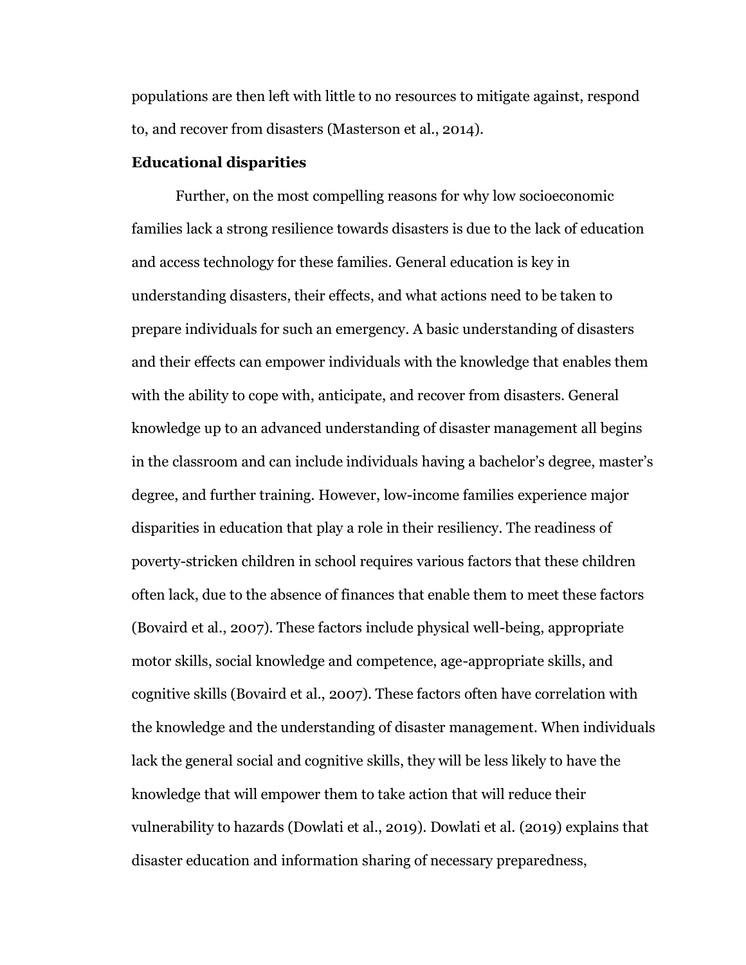populations are then left with little to no resources to mitigate against, respond to, and recover from disasters (Masterson et al., 2014).

# **Educational disparities**

Further, on the most compelling reasons for why low socioeconomic families lack a strong resilience towards disasters is due to the lack of education and access technology for these families. General education is key in understanding disasters, their effects, and what actions need to be taken to prepare individuals for such an emergency. A basic understanding of disasters and their effects can empower individuals with the knowledge that enables them with the ability to cope with, anticipate, and recover from disasters. General knowledge up to an advanced understanding of disaster management all begins in the classroom and can include individuals having a bachelor's degree, master's degree, and further training. However, low-income families experience major disparities in education that play a role in their resiliency. The readiness of poverty-stricken children in school requires various factors that these children often lack, due to the absence of finances that enable them to meet these factors (Bovaird et al., 2007). These factors include physical well-being, appropriate motor skills, social knowledge and competence, age-appropriate skills, and cognitive skills (Bovaird et al., 2007). These factors often have correlation with the knowledge and the understanding of disaster management. When individuals lack the general social and cognitive skills, they will be less likely to have the knowledge that will empower them to take action that will reduce their vulnerability to hazards (Dowlati et al., 2019). Dowlati et al. (2019) explains that disaster education and information sharing of necessary preparedness,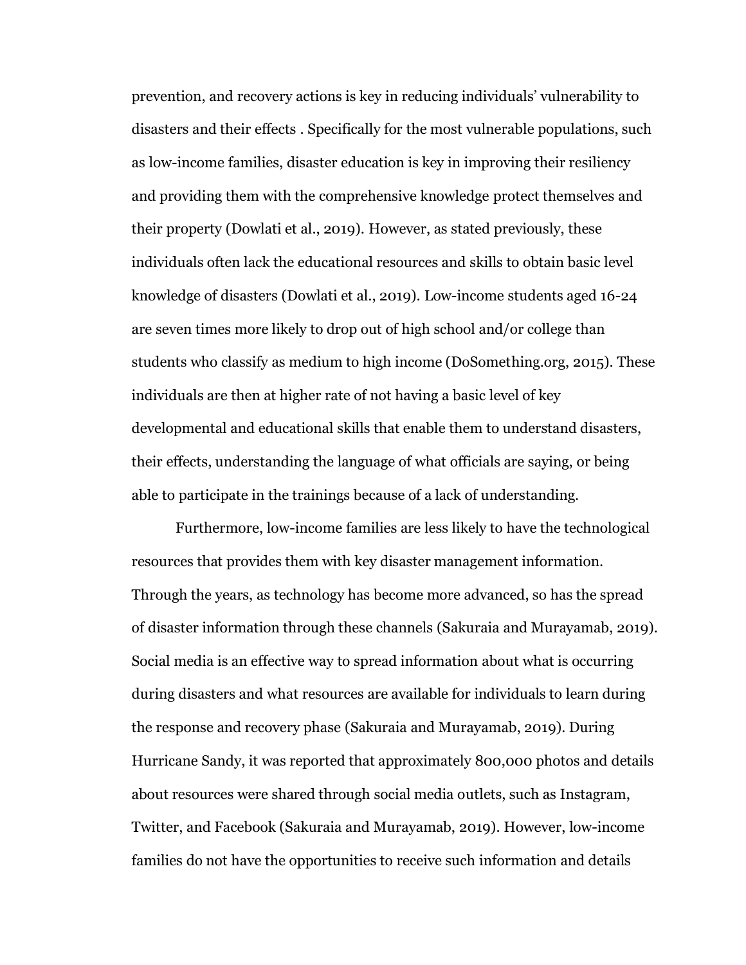prevention, and recovery actions is key in reducing individuals' vulnerability to disasters and their effects . Specifically for the most vulnerable populations, such as low-income families, disaster education is key in improving their resiliency and providing them with the comprehensive knowledge protect themselves and their property (Dowlati et al., 2019). However, as stated previously, these individuals often lack the educational resources and skills to obtain basic level knowledge of disasters (Dowlati et al., 2019). Low-income students aged 16-24 are seven times more likely to drop out of high school and/or college than students who classify as medium to high income (DoSomething.org, 2015). These individuals are then at higher rate of not having a basic level of key developmental and educational skills that enable them to understand disasters, their effects, understanding the language of what officials are saying, or being able to participate in the trainings because of a lack of understanding.

Furthermore, low-income families are less likely to have the technological resources that provides them with key disaster management information. Through the years, as technology has become more advanced, so has the spread of disaster information through these channels (Sakuraia and Murayamab, 2019). Social media is an effective way to spread information about what is occurring during disasters and what resources are available for individuals to learn during the response and recovery phase (Sakuraia and Murayamab, 2019). During Hurricane Sandy, it was reported that approximately 800,000 photos and details about resources were shared through social media outlets, such as Instagram, Twitter, and Facebook (Sakuraia and Murayamab, 2019). However, low-income families do not have the opportunities to receive such information and details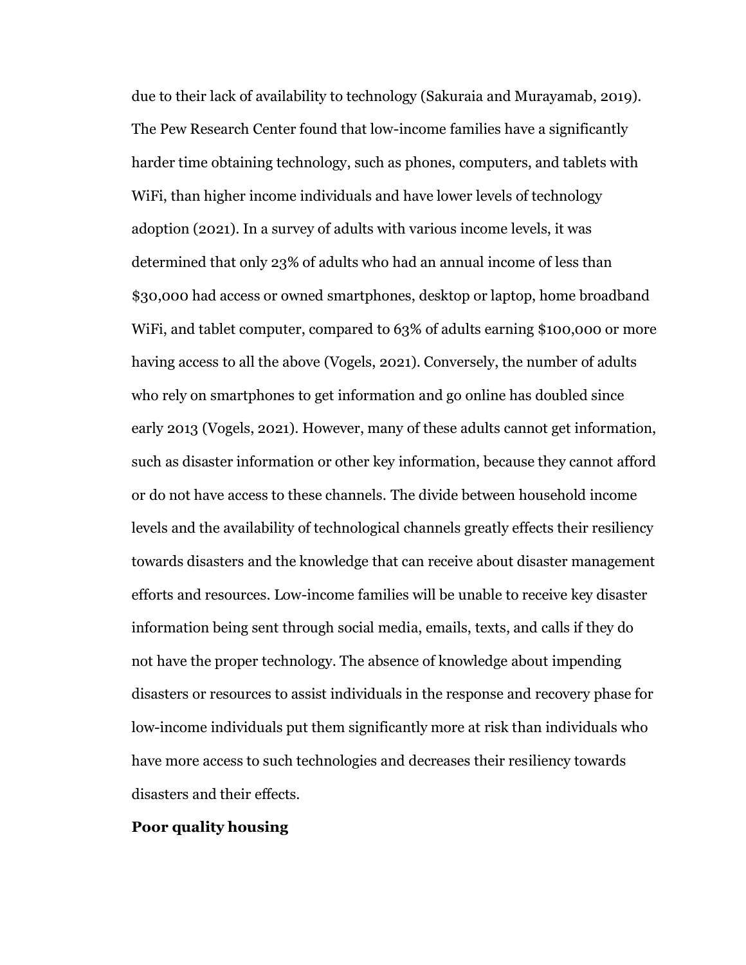due to their lack of availability to technology (Sakuraia and Murayamab, 2019). The Pew Research Center found that low-income families have a significantly harder time obtaining technology, such as phones, computers, and tablets with WiFi, than higher income individuals and have lower levels of technology adoption (2021). In a survey of adults with various income levels, it was determined that only 23% of adults who had an annual income of less than \$30,000 had access or owned smartphones, desktop or laptop, home broadband WiFi, and tablet computer, compared to 63% of adults earning \$100,000 or more having access to all the above (Vogels, 2021). Conversely, the number of adults who rely on smartphones to get information and go online has doubled since early 2013 (Vogels, 2021). However, many of these adults cannot get information, such as disaster information or other key information, because they cannot afford or do not have access to these channels. The divide between household income levels and the availability of technological channels greatly effects their resiliency towards disasters and the knowledge that can receive about disaster management efforts and resources. Low-income families will be unable to receive key disaster information being sent through social media, emails, texts, and calls if they do not have the proper technology. The absence of knowledge about impending disasters or resources to assist individuals in the response and recovery phase for low-income individuals put them significantly more at risk than individuals who have more access to such technologies and decreases their resiliency towards disasters and their effects.

### **Poor quality housing**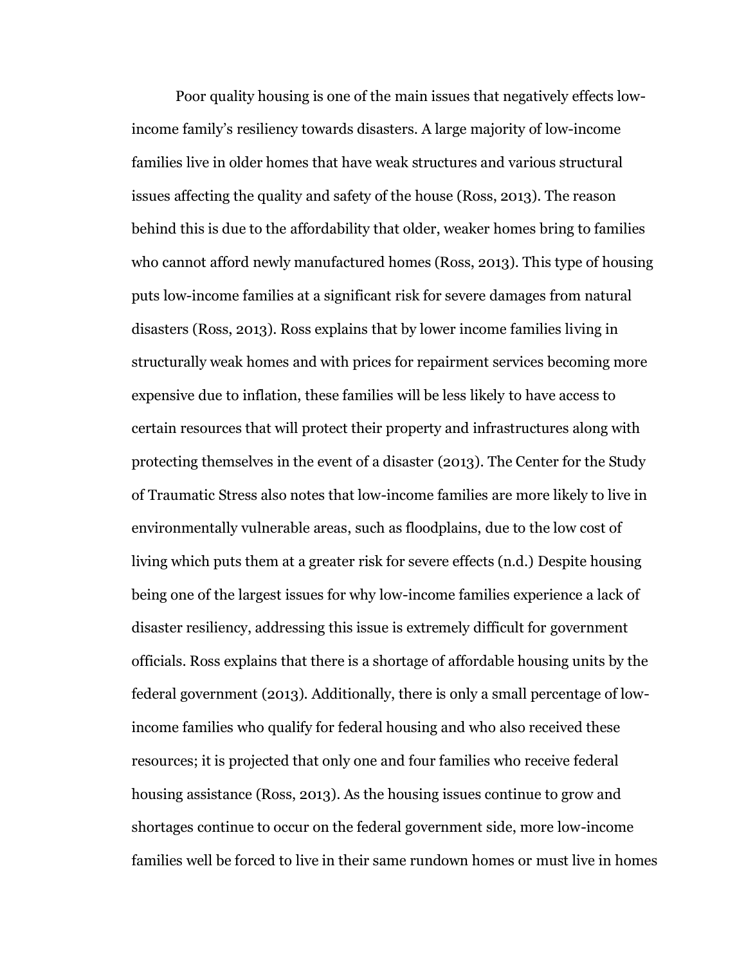Poor quality housing is one of the main issues that negatively effects lowincome family's resiliency towards disasters. A large majority of low-income families live in older homes that have weak structures and various structural issues affecting the quality and safety of the house (Ross, 2013). The reason behind this is due to the affordability that older, weaker homes bring to families who cannot afford newly manufactured homes (Ross, 2013). This type of housing puts low-income families at a significant risk for severe damages from natural disasters (Ross, 2013). Ross explains that by lower income families living in structurally weak homes and with prices for repairment services becoming more expensive due to inflation, these families will be less likely to have access to certain resources that will protect their property and infrastructures along with protecting themselves in the event of a disaster (2013). The Center for the Study of Traumatic Stress also notes that low-income families are more likely to live in environmentally vulnerable areas, such as floodplains, due to the low cost of living which puts them at a greater risk for severe effects (n.d.) Despite housing being one of the largest issues for why low-income families experience a lack of disaster resiliency, addressing this issue is extremely difficult for government officials. Ross explains that there is a shortage of affordable housing units by the federal government (2013). Additionally, there is only a small percentage of lowincome families who qualify for federal housing and who also received these resources; it is projected that only one and four families who receive federal housing assistance (Ross, 2013). As the housing issues continue to grow and shortages continue to occur on the federal government side, more low-income families well be forced to live in their same rundown homes or must live in homes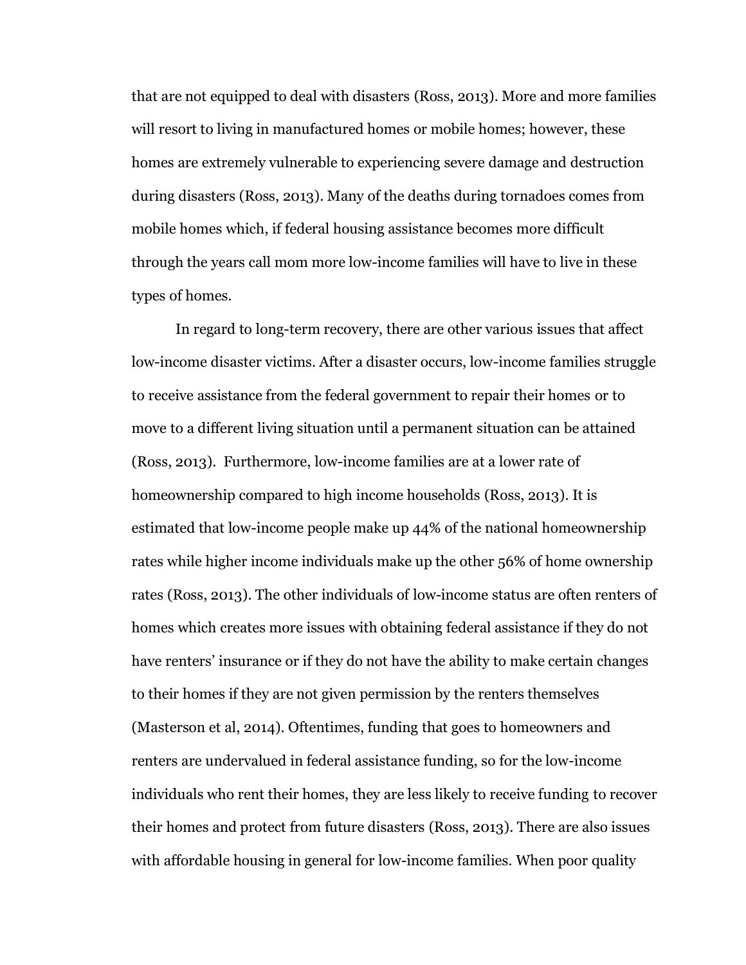that are not equipped to deal with disasters (Ross, 2013). More and more families will resort to living in manufactured homes or mobile homes; however, these homes are extremely vulnerable to experiencing severe damage and destruction during disasters (Ross, 2013). Many of the deaths during tornadoes comes from mobile homes which, if federal housing assistance becomes more difficult through the years call mom more low-income families will have to live in these types of homes.

In regard to long-term recovery, there are other various issues that affect low-income disaster victims. After a disaster occurs, low-income families struggle to receive assistance from the federal government to repair their homes or to move to a different living situation until a permanent situation can be attained (Ross, 2013). Furthermore, low-income families are at a lower rate of homeownership compared to high income households (Ross, 2013). It is estimated that low-income people make up 44% of the national homeownership rates while higher income individuals make up the other 56% of home ownership rates (Ross, 2013). The other individuals of low-income status are often renters of homes which creates more issues with obtaining federal assistance if they do not have renters' insurance or if they do not have the ability to make certain changes to their homes if they are not given permission by the renters themselves (Masterson et al, 2014). Oftentimes, funding that goes to homeowners and renters are undervalued in federal assistance funding, so for the low-income individuals who rent their homes, they are less likely to receive funding to recover their homes and protect from future disasters (Ross, 2013). There are also issues with affordable housing in general for low-income families. When poor quality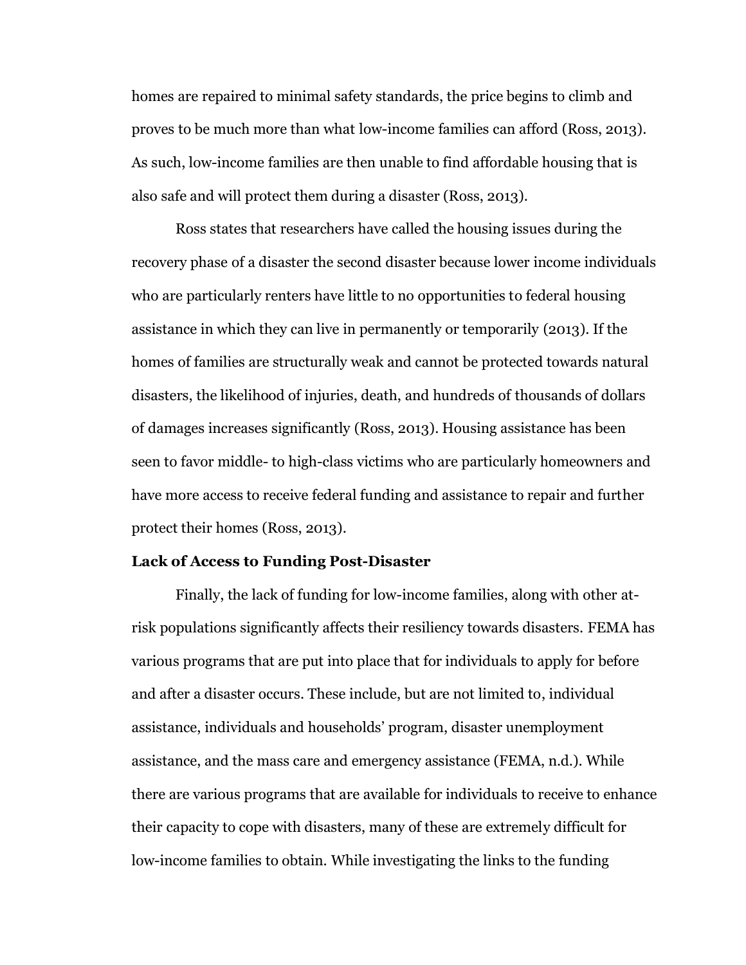homes are repaired to minimal safety standards, the price begins to climb and proves to be much more than what low-income families can afford (Ross, 2013). As such, low-income families are then unable to find affordable housing that is also safe and will protect them during a disaster (Ross, 2013).

Ross states that researchers have called the housing issues during the recovery phase of a disaster the second disaster because lower income individuals who are particularly renters have little to no opportunities to federal housing assistance in which they can live in permanently or temporarily (2013). If the homes of families are structurally weak and cannot be protected towards natural disasters, the likelihood of injuries, death, and hundreds of thousands of dollars of damages increases significantly (Ross, 2013). Housing assistance has been seen to favor middle- to high-class victims who are particularly homeowners and have more access to receive federal funding and assistance to repair and further protect their homes (Ross, 2013).

## **Lack of Access to Funding Post-Disaster**

Finally, the lack of funding for low-income families, along with other atrisk populations significantly affects their resiliency towards disasters. FEMA has various programs that are put into place that for individuals to apply for before and after a disaster occurs. These include, but are not limited to, individual assistance, individuals and households' program, disaster unemployment assistance, and the mass care and emergency assistance (FEMA, n.d.). While there are various programs that are available for individuals to receive to enhance their capacity to cope with disasters, many of these are extremely difficult for low-income families to obtain. While investigating the links to the funding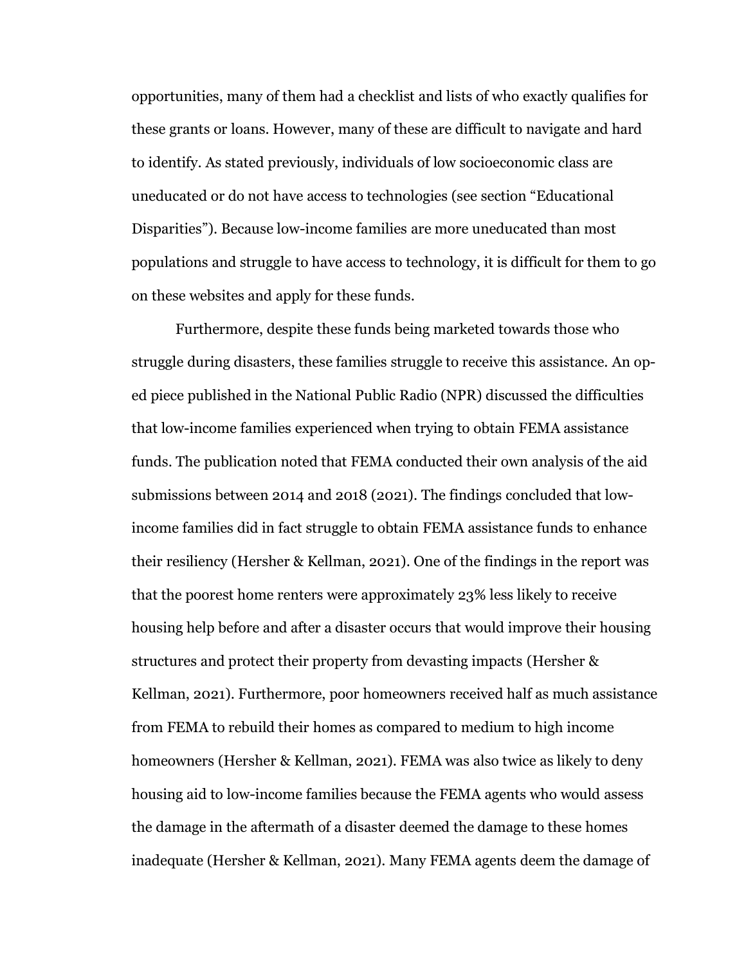opportunities, many of them had a checklist and lists of who exactly qualifies for these grants or loans. However, many of these are difficult to navigate and hard to identify. As stated previously, individuals of low socioeconomic class are uneducated or do not have access to technologies (see section "Educational Disparities"). Because low-income families are more uneducated than most populations and struggle to have access to technology, it is difficult for them to go on these websites and apply for these funds.

Furthermore, despite these funds being marketed towards those who struggle during disasters, these families struggle to receive this assistance. An oped piece published in the National Public Radio (NPR) discussed the difficulties that low-income families experienced when trying to obtain FEMA assistance funds. The publication noted that FEMA conducted their own analysis of the aid submissions between 2014 and 2018 (2021). The findings concluded that lowincome families did in fact struggle to obtain FEMA assistance funds to enhance their resiliency (Hersher & Kellman, 2021). One of the findings in the report was that the poorest home renters were approximately 23% less likely to receive housing help before and after a disaster occurs that would improve their housing structures and protect their property from devasting impacts (Hersher & Kellman, 2021). Furthermore, poor homeowners received half as much assistance from FEMA to rebuild their homes as compared to medium to high income homeowners (Hersher & Kellman, 2021). FEMA was also twice as likely to deny housing aid to low-income families because the FEMA agents who would assess the damage in the aftermath of a disaster deemed the damage to these homes inadequate (Hersher & Kellman, 2021). Many FEMA agents deem the damage of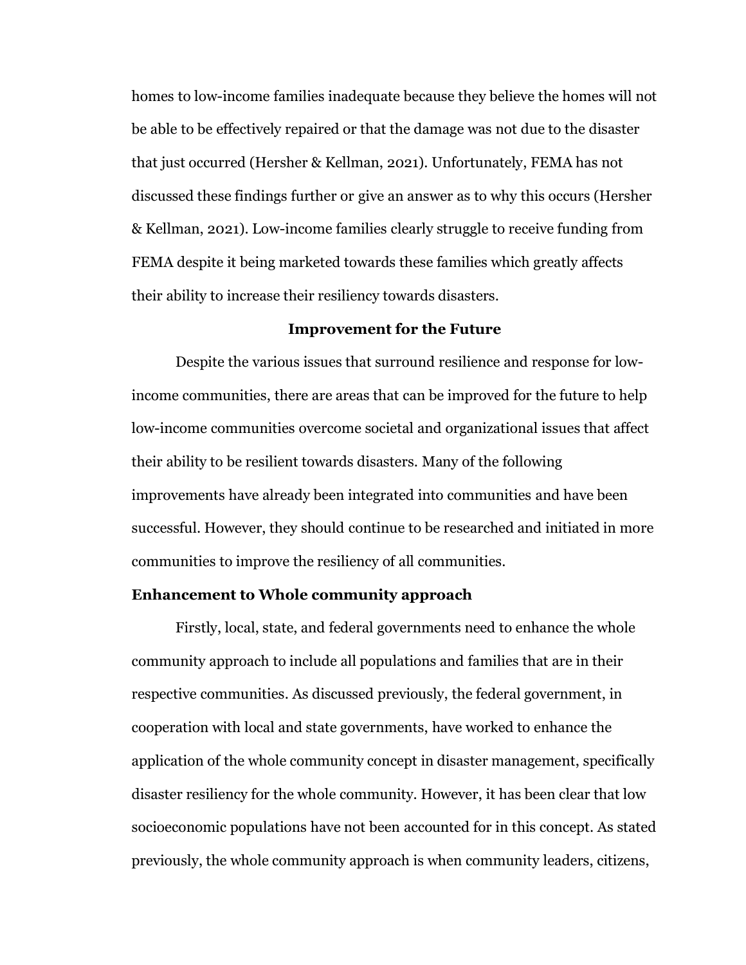homes to low-income families inadequate because they believe the homes will not be able to be effectively repaired or that the damage was not due to the disaster that just occurred (Hersher & Kellman, 2021). Unfortunately, FEMA has not discussed these findings further or give an answer as to why this occurs (Hersher & Kellman, 2021). Low-income families clearly struggle to receive funding from FEMA despite it being marketed towards these families which greatly affects their ability to increase their resiliency towards disasters.

#### **Improvement for the Future**

Despite the various issues that surround resilience and response for lowincome communities, there are areas that can be improved for the future to help low-income communities overcome societal and organizational issues that affect their ability to be resilient towards disasters. Many of the following improvements have already been integrated into communities and have been successful. However, they should continue to be researched and initiated in more communities to improve the resiliency of all communities.

#### **Enhancement to Whole community approach**

Firstly, local, state, and federal governments need to enhance the whole community approach to include all populations and families that are in their respective communities. As discussed previously, the federal government, in cooperation with local and state governments, have worked to enhance the application of the whole community concept in disaster management, specifically disaster resiliency for the whole community. However, it has been clear that low socioeconomic populations have not been accounted for in this concept. As stated previously, the whole community approach is when community leaders, citizens,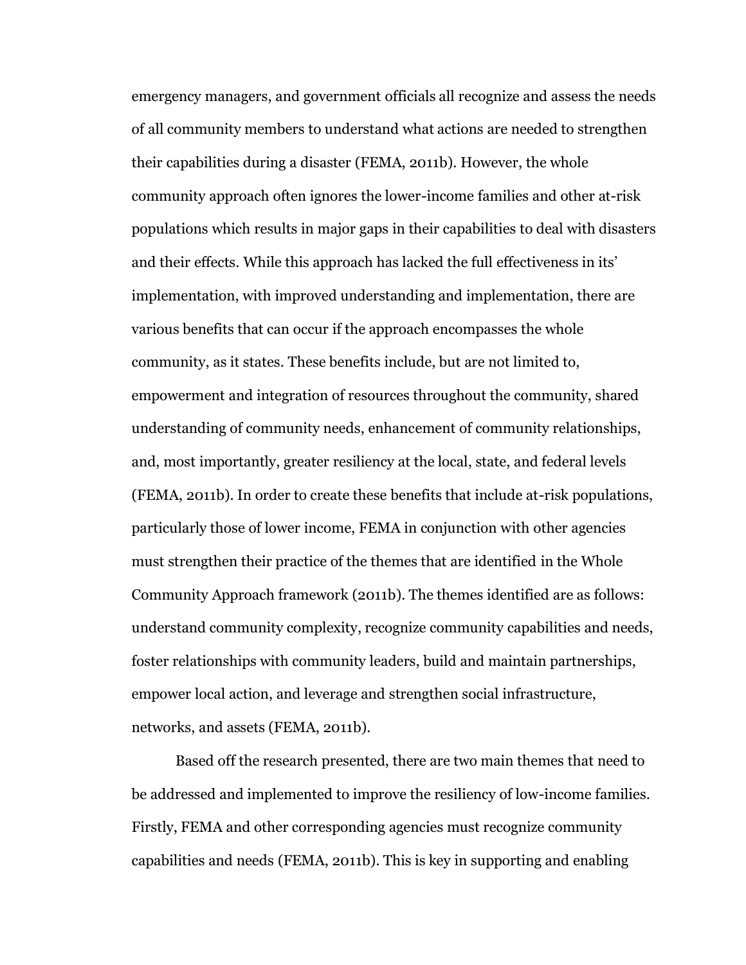emergency managers, and government officials all recognize and assess the needs of all community members to understand what actions are needed to strengthen their capabilities during a disaster (FEMA, 2011b). However, the whole community approach often ignores the lower-income families and other at-risk populations which results in major gaps in their capabilities to deal with disasters and their effects. While this approach has lacked the full effectiveness in its' implementation, with improved understanding and implementation, there are various benefits that can occur if the approach encompasses the whole community, as it states. These benefits include, but are not limited to, empowerment and integration of resources throughout the community, shared understanding of community needs, enhancement of community relationships, and, most importantly, greater resiliency at the local, state, and federal levels (FEMA, 2011b). In order to create these benefits that include at-risk populations, particularly those of lower income, FEMA in conjunction with other agencies must strengthen their practice of the themes that are identified in the Whole Community Approach framework (2011b). The themes identified are as follows: understand community complexity, recognize community capabilities and needs, foster relationships with community leaders, build and maintain partnerships, empower local action, and leverage and strengthen social infrastructure, networks, and assets (FEMA, 2011b).

Based off the research presented, there are two main themes that need to be addressed and implemented to improve the resiliency of low-income families. Firstly, FEMA and other corresponding agencies must recognize community capabilities and needs (FEMA, 2011b). This is key in supporting and enabling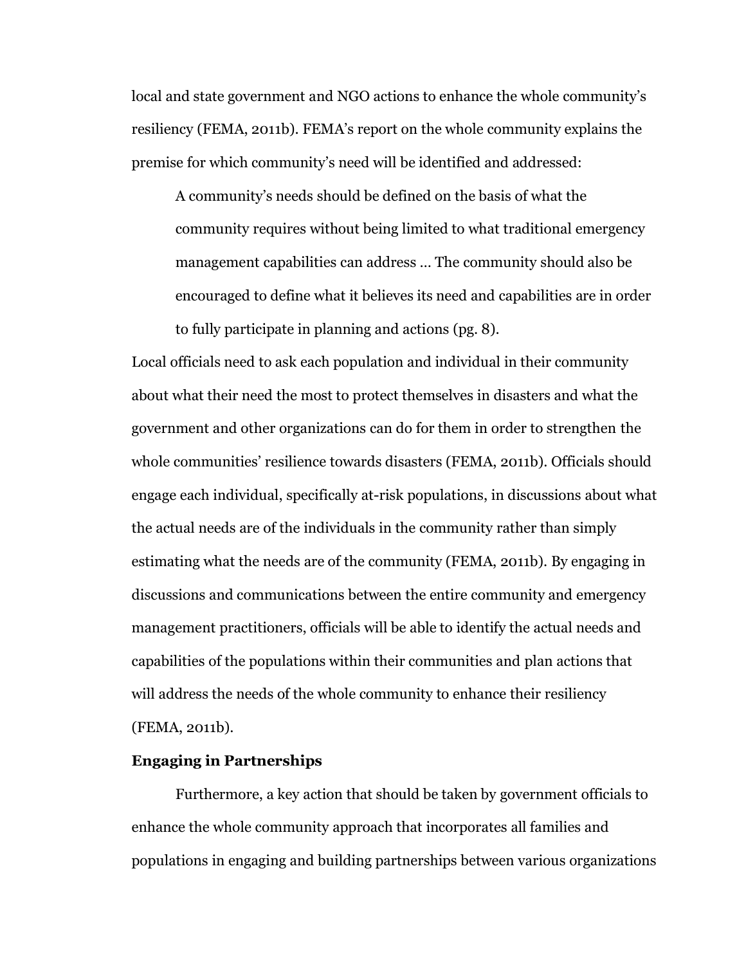local and state government and NGO actions to enhance the whole community's resiliency (FEMA, 2011b). FEMA's report on the whole community explains the premise for which community's need will be identified and addressed:

A community's needs should be defined on the basis of what the community requires without being limited to what traditional emergency management capabilities can address … The community should also be encouraged to define what it believes its need and capabilities are in order to fully participate in planning and actions (pg. 8).

Local officials need to ask each population and individual in their community about what their need the most to protect themselves in disasters and what the government and other organizations can do for them in order to strengthen the whole communities' resilience towards disasters (FEMA, 2011b). Officials should engage each individual, specifically at-risk populations, in discussions about what the actual needs are of the individuals in the community rather than simply estimating what the needs are of the community (FEMA, 2011b). By engaging in discussions and communications between the entire community and emergency management practitioners, officials will be able to identify the actual needs and capabilities of the populations within their communities and plan actions that will address the needs of the whole community to enhance their resiliency (FEMA, 2011b).

# **Engaging in Partnerships**

Furthermore, a key action that should be taken by government officials to enhance the whole community approach that incorporates all families and populations in engaging and building partnerships between various organizations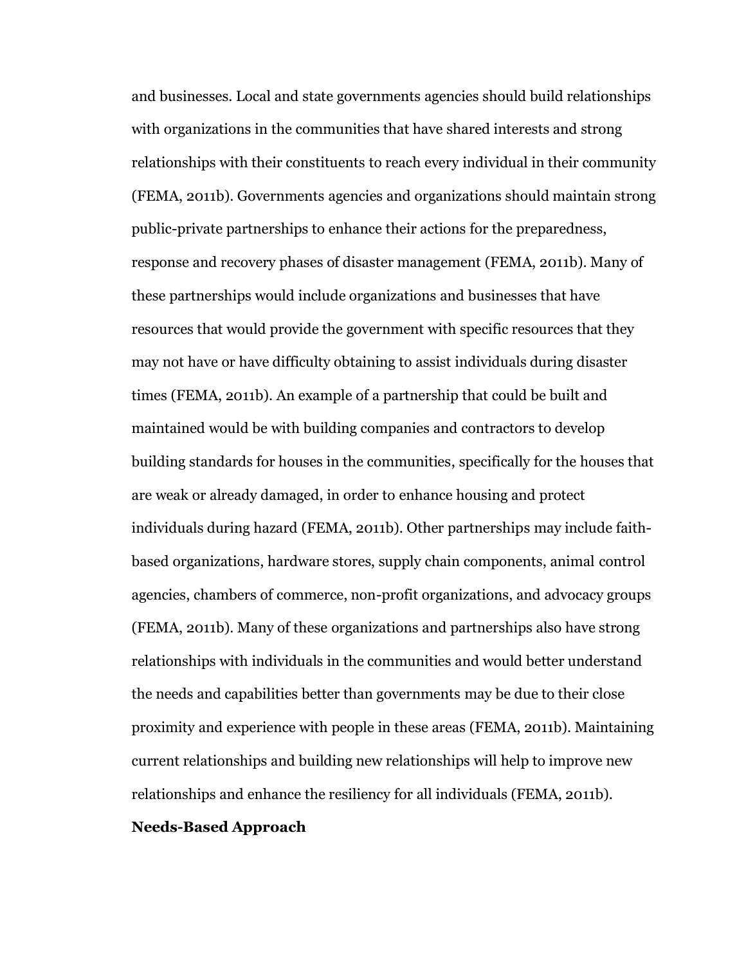and businesses. Local and state governments agencies should build relationships with organizations in the communities that have shared interests and strong relationships with their constituents to reach every individual in their community (FEMA, 2011b). Governments agencies and organizations should maintain strong public-private partnerships to enhance their actions for the preparedness, response and recovery phases of disaster management (FEMA, 2011b). Many of these partnerships would include organizations and businesses that have resources that would provide the government with specific resources that they may not have or have difficulty obtaining to assist individuals during disaster times (FEMA, 2011b). An example of a partnership that could be built and maintained would be with building companies and contractors to develop building standards for houses in the communities, specifically for the houses that are weak or already damaged, in order to enhance housing and protect individuals during hazard (FEMA, 2011b). Other partnerships may include faithbased organizations, hardware stores, supply chain components, animal control agencies, chambers of commerce, non-profit organizations, and advocacy groups (FEMA, 2011b). Many of these organizations and partnerships also have strong relationships with individuals in the communities and would better understand the needs and capabilities better than governments may be due to their close proximity and experience with people in these areas (FEMA, 2011b). Maintaining current relationships and building new relationships will help to improve new relationships and enhance the resiliency for all individuals (FEMA, 2011b).

### **Needs-Based Approach**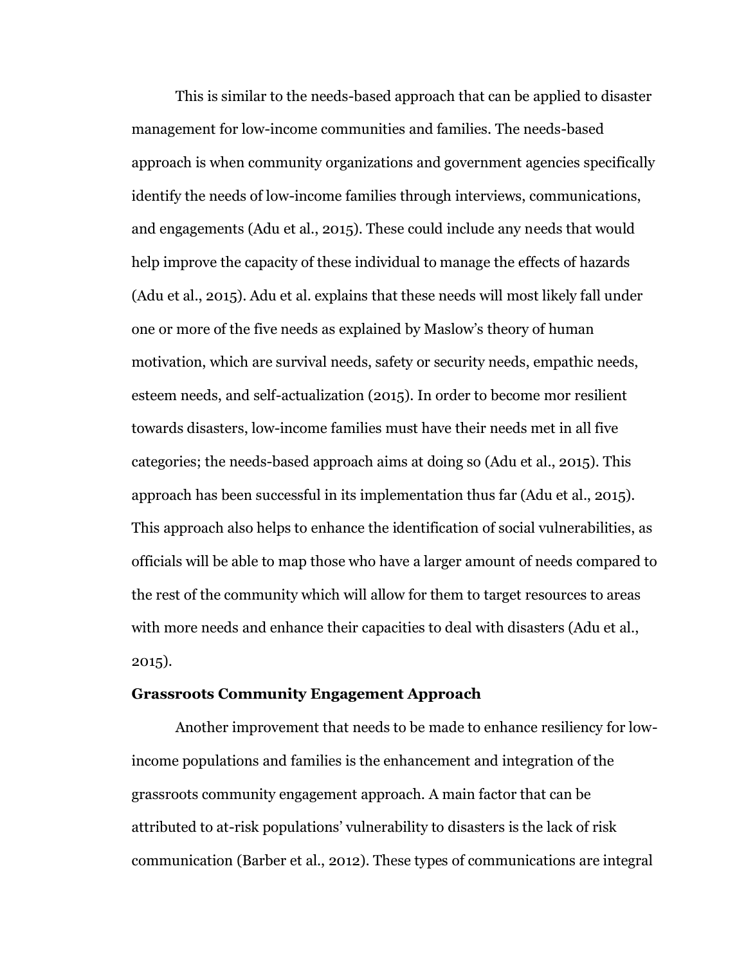This is similar to the needs-based approach that can be applied to disaster management for low-income communities and families. The needs-based approach is when community organizations and government agencies specifically identify the needs of low-income families through interviews, communications, and engagements (Adu et al., 2015). These could include any needs that would help improve the capacity of these individual to manage the effects of hazards (Adu et al., 2015). Adu et al. explains that these needs will most likely fall under one or more of the five needs as explained by Maslow's theory of human motivation, which are survival needs, safety or security needs, empathic needs, esteem needs, and self-actualization (2015). In order to become mor resilient towards disasters, low-income families must have their needs met in all five categories; the needs-based approach aims at doing so (Adu et al., 2015). This approach has been successful in its implementation thus far (Adu et al., 2015). This approach also helps to enhance the identification of social vulnerabilities, as officials will be able to map those who have a larger amount of needs compared to the rest of the community which will allow for them to target resources to areas with more needs and enhance their capacities to deal with disasters (Adu et al., 2015).

#### **Grassroots Community Engagement Approach**

Another improvement that needs to be made to enhance resiliency for lowincome populations and families is the enhancement and integration of the grassroots community engagement approach. A main factor that can be attributed to at-risk populations' vulnerability to disasters is the lack of risk communication (Barber et al., 2012). These types of communications are integral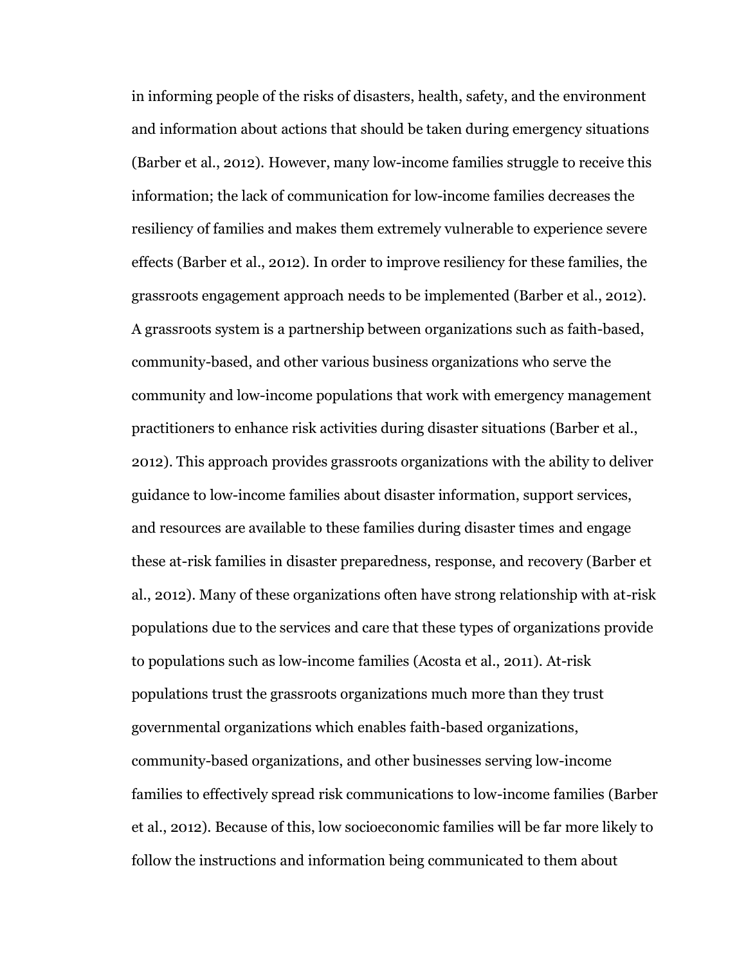in informing people of the risks of disasters, health, safety, and the environment and information about actions that should be taken during emergency situations (Barber et al., 2012). However, many low-income families struggle to receive this information; the lack of communication for low-income families decreases the resiliency of families and makes them extremely vulnerable to experience severe effects (Barber et al., 2012). In order to improve resiliency for these families, the grassroots engagement approach needs to be implemented (Barber et al., 2012). A grassroots system is a partnership between organizations such as faith-based, community-based, and other various business organizations who serve the community and low-income populations that work with emergency management practitioners to enhance risk activities during disaster situations (Barber et al., 2012). This approach provides grassroots organizations with the ability to deliver guidance to low-income families about disaster information, support services, and resources are available to these families during disaster times and engage these at-risk families in disaster preparedness, response, and recovery (Barber et al., 2012). Many of these organizations often have strong relationship with at-risk populations due to the services and care that these types of organizations provide to populations such as low-income families (Acosta et al., 2011). At-risk populations trust the grassroots organizations much more than they trust governmental organizations which enables faith-based organizations, community-based organizations, and other businesses serving low-income families to effectively spread risk communications to low-income families (Barber et al., 2012). Because of this, low socioeconomic families will be far more likely to follow the instructions and information being communicated to them about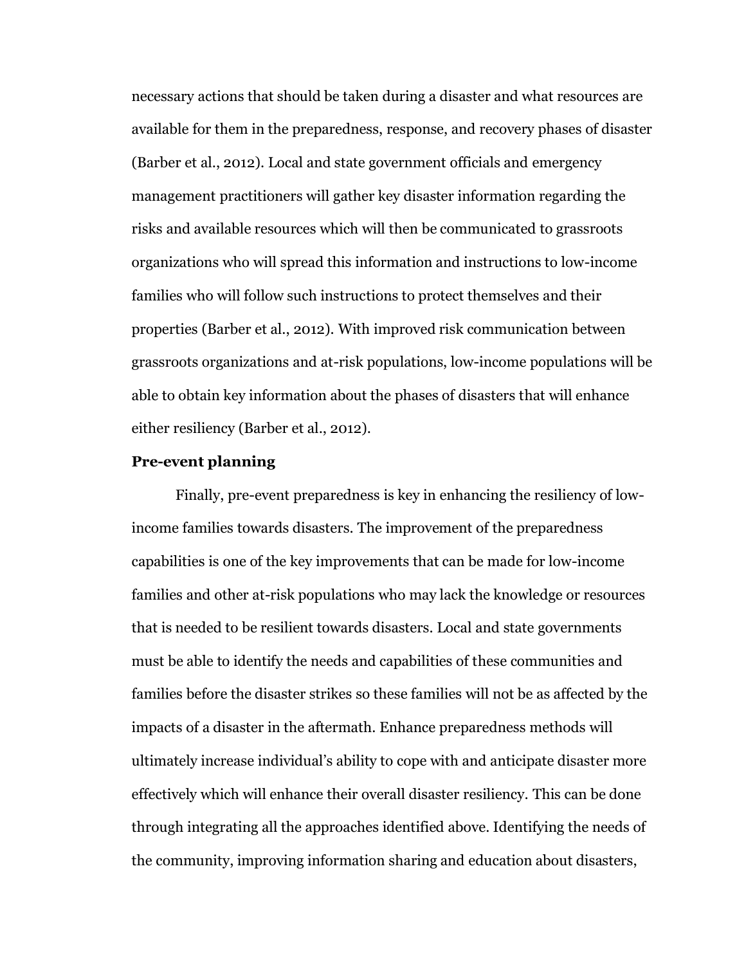necessary actions that should be taken during a disaster and what resources are available for them in the preparedness, response, and recovery phases of disaster (Barber et al., 2012). Local and state government officials and emergency management practitioners will gather key disaster information regarding the risks and available resources which will then be communicated to grassroots organizations who will spread this information and instructions to low-income families who will follow such instructions to protect themselves and their properties (Barber et al., 2012). With improved risk communication between grassroots organizations and at-risk populations, low-income populations will be able to obtain key information about the phases of disasters that will enhance either resiliency (Barber et al., 2012).

# **Pre-event planning**

Finally, pre-event preparedness is key in enhancing the resiliency of lowincome families towards disasters. The improvement of the preparedness capabilities is one of the key improvements that can be made for low-income families and other at-risk populations who may lack the knowledge or resources that is needed to be resilient towards disasters. Local and state governments must be able to identify the needs and capabilities of these communities and families before the disaster strikes so these families will not be as affected by the impacts of a disaster in the aftermath. Enhance preparedness methods will ultimately increase individual's ability to cope with and anticipate disaster more effectively which will enhance their overall disaster resiliency. This can be done through integrating all the approaches identified above. Identifying the needs of the community, improving information sharing and education about disasters,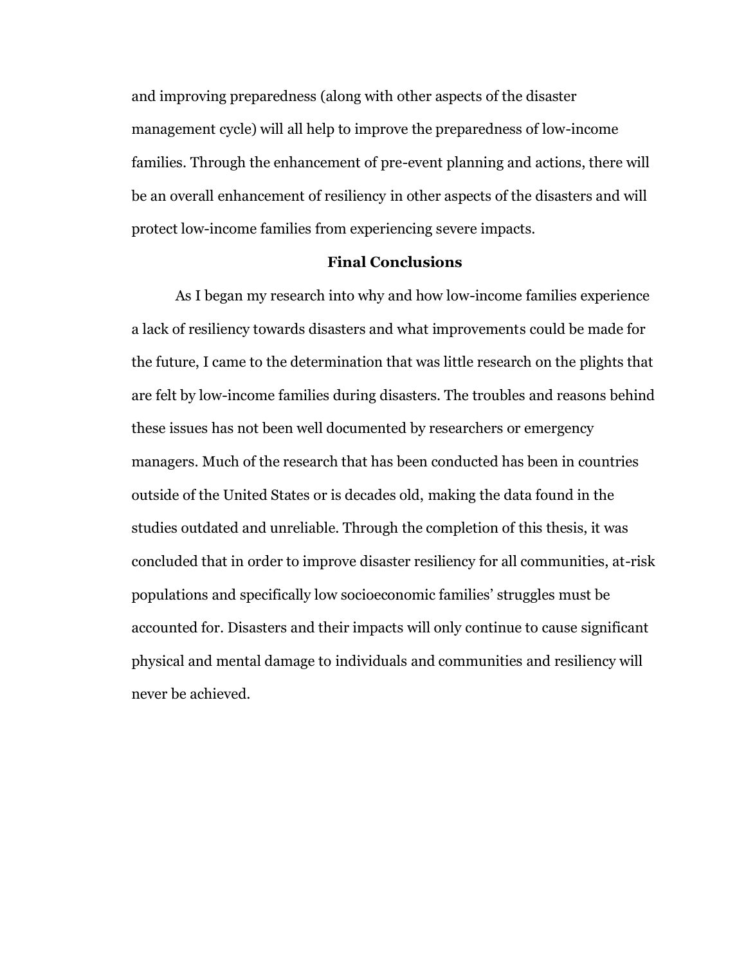and improving preparedness (along with other aspects of the disaster management cycle) will all help to improve the preparedness of low-income families. Through the enhancement of pre-event planning and actions, there will be an overall enhancement of resiliency in other aspects of the disasters and will protect low-income families from experiencing severe impacts.

## **Final Conclusions**

As I began my research into why and how low-income families experience a lack of resiliency towards disasters and what improvements could be made for the future, I came to the determination that was little research on the plights that are felt by low-income families during disasters. The troubles and reasons behind these issues has not been well documented by researchers or emergency managers. Much of the research that has been conducted has been in countries outside of the United States or is decades old, making the data found in the studies outdated and unreliable. Through the completion of this thesis, it was concluded that in order to improve disaster resiliency for all communities, at-risk populations and specifically low socioeconomic families' struggles must be accounted for. Disasters and their impacts will only continue to cause significant physical and mental damage to individuals and communities and resiliency will never be achieved.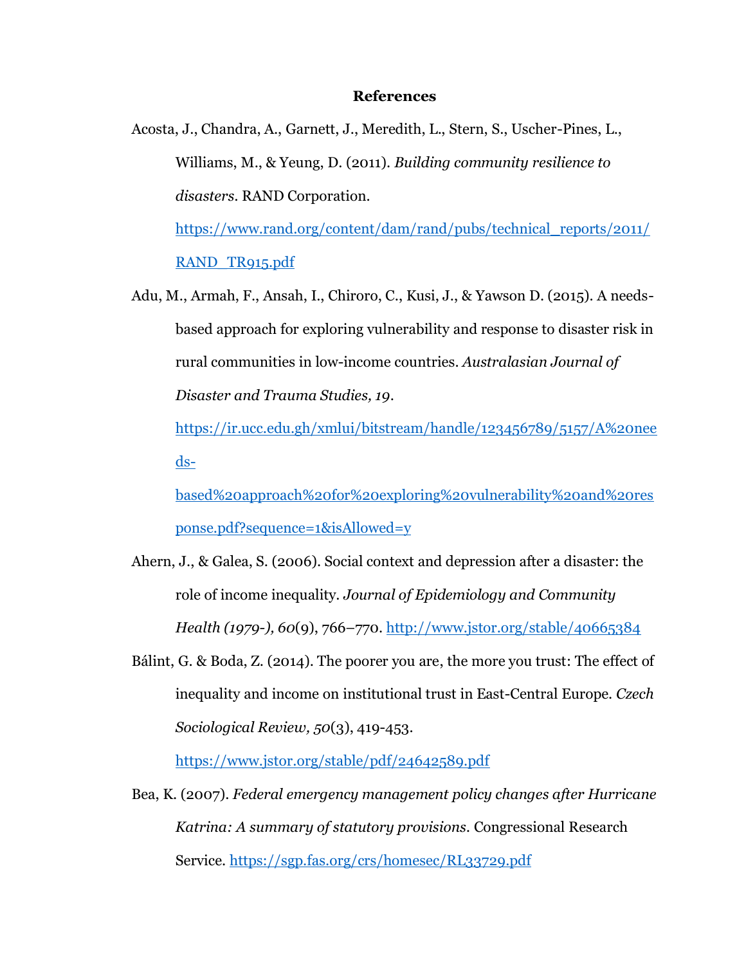#### **References**

Acosta, J., Chandra, A., Garnett, J., Meredith, L., Stern, S., Uscher-Pines, L., Williams, M., & Yeung, D. (2011). *Building community resilience to disasters.* RAND Corporation.

[https://www.rand.org/content/dam/rand/pubs/technical\\_reports/2011/](https://www.rand.org/content/dam/rand/pubs/technical_reports/2011/RAND_TR915.pdf) [RAND\\_TR915.pdf](https://www.rand.org/content/dam/rand/pubs/technical_reports/2011/RAND_TR915.pdf)

Adu, M., Armah, F., Ansah, I., Chiroro, C., Kusi, J., & Yawson D. (2015). A needsbased approach for exploring vulnerability and response to disaster risk in rural communities in low-income countries. *Australasian Journal of Disaster and Trauma Studies, 19*.

[https://ir.ucc.edu.gh/xmlui/bitstream/handle/123456789/5157/A%20nee](https://ir.ucc.edu.gh/xmlui/bitstream/handle/123456789/5157/A%20needs-based%20approach%20for%20exploring%20vulnerability%20and%20response.pdf?sequence=1&isAllowed=y) [ds-](https://ir.ucc.edu.gh/xmlui/bitstream/handle/123456789/5157/A%20needs-based%20approach%20for%20exploring%20vulnerability%20and%20response.pdf?sequence=1&isAllowed=y)

[based%20approach%20for%20exploring%20vulnerability%20and%20res](https://ir.ucc.edu.gh/xmlui/bitstream/handle/123456789/5157/A%20needs-based%20approach%20for%20exploring%20vulnerability%20and%20response.pdf?sequence=1&isAllowed=y) [ponse.pdf?sequence=1&isAllowed=y](https://ir.ucc.edu.gh/xmlui/bitstream/handle/123456789/5157/A%20needs-based%20approach%20for%20exploring%20vulnerability%20and%20response.pdf?sequence=1&isAllowed=y)

- Ahern, J., & Galea, S. (2006). Social context and depression after a disaster: the role of income inequality. *Journal of Epidemiology and Community Health (1979-), 60*(9), 766–770. <http://www.jstor.org/stable/40665384>
- Bálint, G. & Boda, Z. (2014). The poorer you are, the more you trust: The effect of inequality and income on institutional trust in East-Central Europe. *Czech Sociological Review, 50*(3), 419-453.

<https://www.jstor.org/stable/pdf/24642589.pdf>

Bea, K. (2007). *Federal emergency management policy changes after Hurricane Katrina: A summary of statutory provisions.* Congressional Research Service.<https://sgp.fas.org/crs/homesec/RL33729.pdf>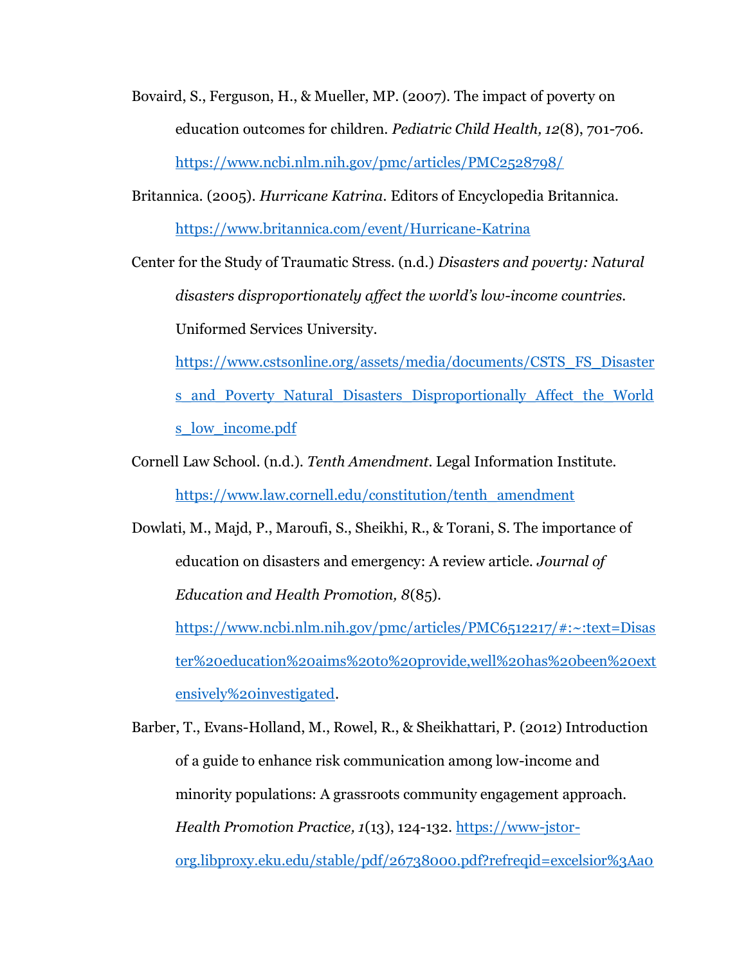- Bovaird, S., Ferguson, H., & Mueller, MP. (2007). The impact of poverty on education outcomes for children. *Pediatric Child Health, 12*(8), 701-706. <https://www.ncbi.nlm.nih.gov/pmc/articles/PMC2528798/>
- Britannica. (2005). *Hurricane Katrina.* Editors of Encyclopedia Britannica. <https://www.britannica.com/event/Hurricane-Katrina>

Center for the Study of Traumatic Stress. (n.d.) *Disasters and poverty: Natural disasters disproportionately affect the world's low-income countries.* Uniformed Services University.

[https://www.cstsonline.org/assets/media/documents/CSTS\\_FS\\_Disaster](https://www.cstsonline.org/assets/media/documents/CSTS_FS_Disasters_and_Poverty_Natural_Disasters_Disproportionally_Affect_the_Worlds_low_income.pdf) [s\\_and\\_Poverty\\_Natural\\_Disasters\\_Disproportionally\\_Affect\\_the\\_World](https://www.cstsonline.org/assets/media/documents/CSTS_FS_Disasters_and_Poverty_Natural_Disasters_Disproportionally_Affect_the_Worlds_low_income.pdf) s low income.pdf

Cornell Law School. (n.d.). *Tenth Amendment.* Legal Information Institute. [https://www.law.cornell.edu/constitution/tenth\\_amendment](https://www.law.cornell.edu/constitution/tenth_amendment)

Dowlati, M., Majd, P., Maroufi, S., Sheikhi, R., & Torani, S. The importance of education on disasters and emergency: A review article. *Journal of Education and Health Promotion, 8*(85). [https://www.ncbi.nlm.nih.gov/pmc/articles/PMC6512217/#:~:text=Disas](https://www.ncbi.nlm.nih.gov/pmc/articles/PMC6512217/#:~:text=Disaster%20education%20aims%20to%20provide,well%20has%20been%20extensively%20investigated)

[ter%20education%20aims%20to%20provide,well%20has%20been%20ext](https://www.ncbi.nlm.nih.gov/pmc/articles/PMC6512217/#:~:text=Disaster%20education%20aims%20to%20provide,well%20has%20been%20extensively%20investigated) [ensively%20investigated.](https://www.ncbi.nlm.nih.gov/pmc/articles/PMC6512217/#:~:text=Disaster%20education%20aims%20to%20provide,well%20has%20been%20extensively%20investigated)

Barber, T., Evans-Holland, M., Rowel, R., & Sheikhattari, P. (2012) Introduction of a guide to enhance risk communication among low-income and minority populations: A grassroots community engagement approach. *Health Promotion Practice, 1*(13), 124-132. [https://www-jstor](https://www-jstor-org.libproxy.eku.edu/stable/pdf/26738000.pdf?refreqid=excelsior%3Aa0e3744e8d526a5fc0f46fce1de344a4&ab_segments=0%2Fbasic_search_gsv2%2Fcontrol&origin=)[org.libproxy.eku.edu/stable/pdf/26738000.pdf?refreqid=excelsior%3Aa0](https://www-jstor-org.libproxy.eku.edu/stable/pdf/26738000.pdf?refreqid=excelsior%3Aa0e3744e8d526a5fc0f46fce1de344a4&ab_segments=0%2Fbasic_search_gsv2%2Fcontrol&origin=)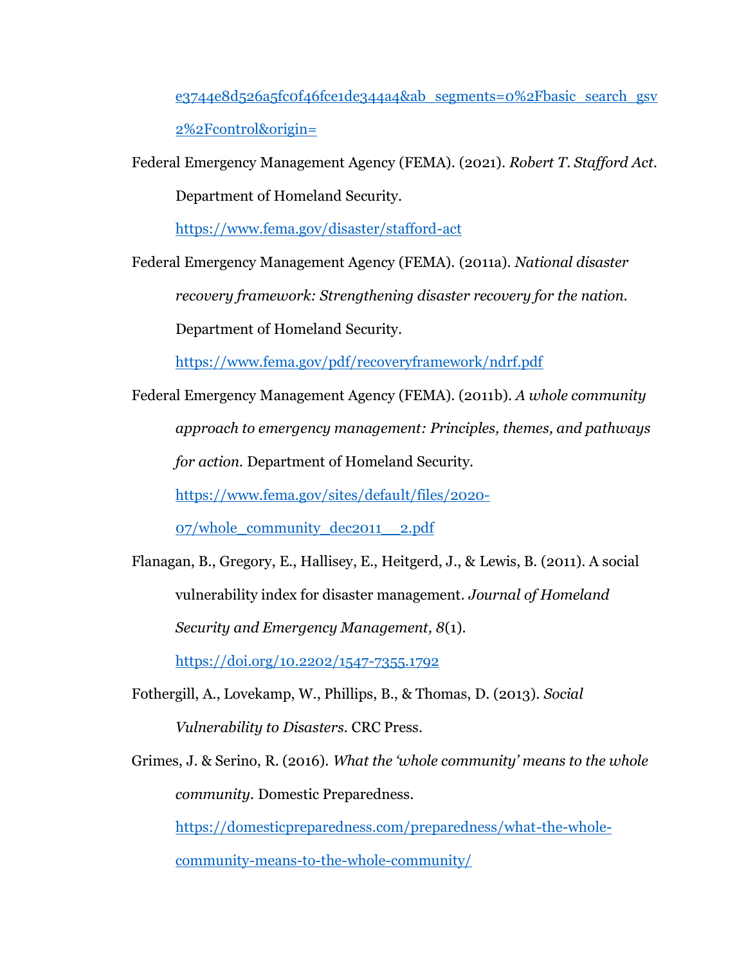e3744e8d526a5fc0f46fce1de344a4&ab segments=0%2Fbasic search gsv [2%2Fcontrol&origin=](https://www-jstor-org.libproxy.eku.edu/stable/pdf/26738000.pdf?refreqid=excelsior%3Aa0e3744e8d526a5fc0f46fce1de344a4&ab_segments=0%2Fbasic_search_gsv2%2Fcontrol&origin=)

Federal Emergency Management Agency (FEMA). (2021). *Robert T. Stafford Act.* 

Department of Homeland Security.

<https://www.fema.gov/disaster/stafford-act>

Federal Emergency Management Agency (FEMA). (2011a). *National disaster* 

*recovery framework: Strengthening disaster recovery for the nation.* 

Department of Homeland Security.

<https://www.fema.gov/pdf/recoveryframework/ndrf.pdf>

Federal Emergency Management Agency (FEMA). (2011b). *A whole community approach to emergency management: Principles, themes, and pathways for action.* Department of Homeland Security.

[https://www.fema.gov/sites/default/files/2020-](https://www.fema.gov/sites/default/files/2020-07/whole_community_dec2011__2.pdf)

[07/whole\\_community\\_dec2011\\_\\_2.pdf](https://www.fema.gov/sites/default/files/2020-07/whole_community_dec2011__2.pdf)

Flanagan, B., Gregory, E., Hallisey, E., Heitgerd, J., & Lewis, B. (2011). A social vulnerability index for disaster management. *Journal of Homeland Security and Emergency Management, 8*(1).

<https://doi.org/10.2202/1547-7355.1792>

- Fothergill, A., Lovekamp, W., Phillips, B., & Thomas, D. (2013). *Social Vulnerability to Disasters.* CRC Press.
- Grimes, J. & Serino, R. (2016). *What the 'whole community' means to the whole community.* Domestic Preparedness. [https://domesticpreparedness.com/preparedness/what-the-whole](https://domesticpreparedness.com/preparedness/what-the-whole-community-means-to-the-whole-community/)[community-means-to-the-whole-community/](https://domesticpreparedness.com/preparedness/what-the-whole-community-means-to-the-whole-community/)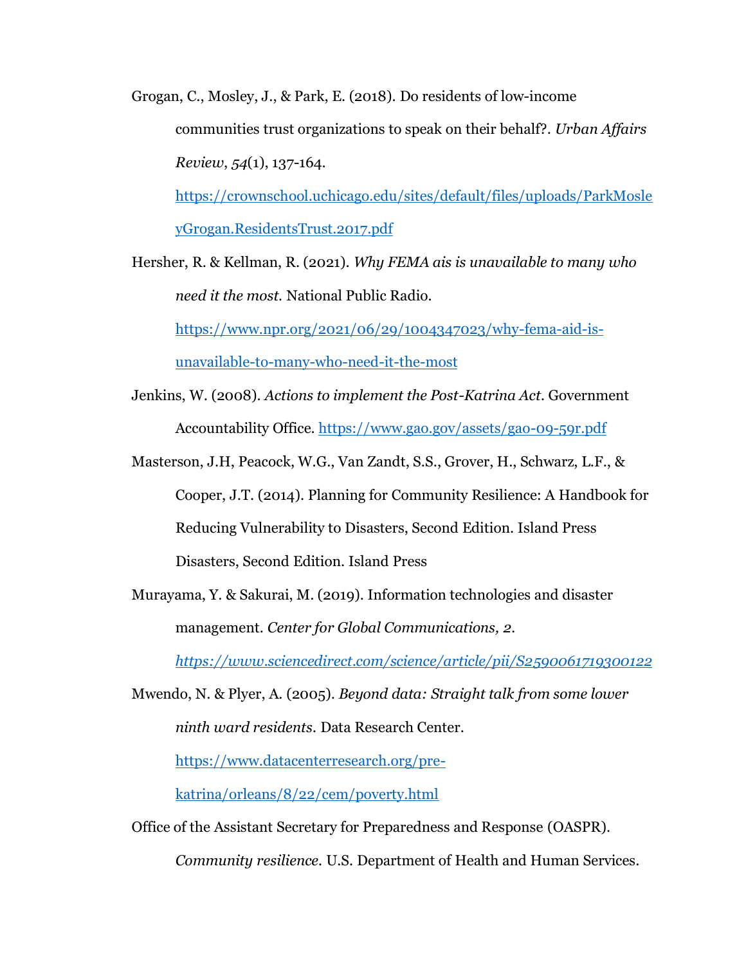Grogan, C., Mosley, J., & Park, E. (2018). Do residents of low-income communities trust organizations to speak on their behalf?. *Urban Affairs Review*, *54*(1), 137-164.

[https://crownschool.uchicago.edu/sites/default/files/uploads/ParkMosle](https://crownschool.uchicago.edu/sites/default/files/uploads/ParkMosleyGrogan.ResidentsTrust.2017.pdf) [yGrogan.ResidentsTrust.2017.pdf](https://crownschool.uchicago.edu/sites/default/files/uploads/ParkMosleyGrogan.ResidentsTrust.2017.pdf)

Hersher, R. & Kellman, R. (2021). *Why FEMA ais is unavailable to many who need it the most.* National Public Radio.

[https://www.npr.org/2021/06/29/1004347023/why-fema-aid-is](https://www.npr.org/2021/06/29/1004347023/why-fema-aid-is-unavailable-to-many-who-need-it-the-most)[unavailable-to-many-who-need-it-the-most](https://www.npr.org/2021/06/29/1004347023/why-fema-aid-is-unavailable-to-many-who-need-it-the-most)

Jenkins, W. (2008). *Actions to implement the Post-Katrina Act.* Government Accountability Office.<https://www.gao.gov/assets/gao-09-59r.pdf>

Masterson, J.H, Peacock, W.G., Van Zandt, S.S., Grover, H., Schwarz, L.F., & Cooper, J.T. (2014). Planning for Community Resilience: A Handbook for Reducing Vulnerability to Disasters, Second Edition. Island Press Disasters, Second Edition. Island Press

Murayama, Y. & Sakurai, M. (2019). Information technologies and disaster management. *Center for Global Communications, 2.* 

*<https://www.sciencedirect.com/science/article/pii/S2590061719300122>*

Mwendo, N. & Plyer, A. (2005). *Beyond data: Straight talk from some lower ninth ward residents.* Data Research Center.

[https://www.datacenterresearch.org/pre-](https://www.datacenterresearch.org/pre-katrina/orleans/8/22/cem/poverty.html)

[katrina/orleans/8/22/cem/poverty.html](https://www.datacenterresearch.org/pre-katrina/orleans/8/22/cem/poverty.html)

Office of the Assistant Secretary for Preparedness and Response (OASPR).

*Community resilience.* U.S. Department of Health and Human Services.